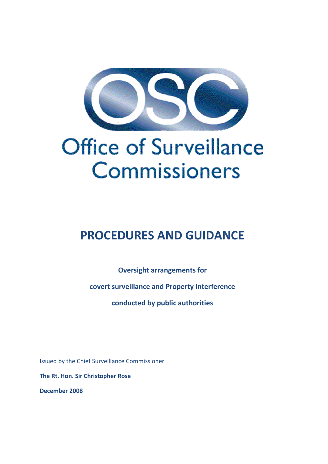

# Office of Surveillance Commissioners

# **PROCEDURES AND GUIDANCE**

**Oversight arrangements for**

**covert surveillance and Property Interference**

**conducted by public authorities**

Issued by the Chief Surveillance Commissioner

**The Rt. Hon. Sir Christopher Rose**

**December 2008**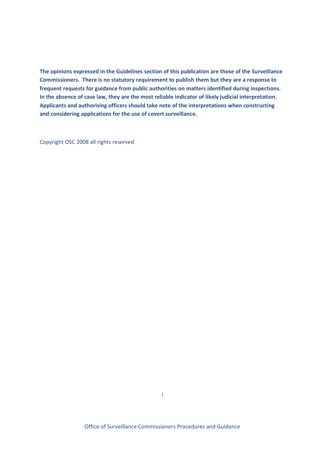**The opinions expressed in the Guidelines section of this publication are those of the Surveillance Commissioners. There is no statutory requirement to publish them but they are a response to frequent requests for guidance from public authorities on matters identified during inspections. In the absence of case law, they are the most reliable indicator of likely judicial interpretation. Applicants and authorising officers should take note of the interpretations when constructing and considering applications for the use of covert surveillance.**

Copyright OSC 2008 all rights reserved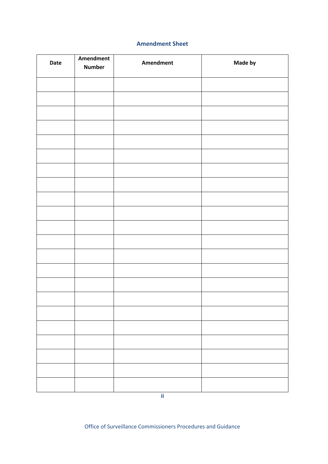#### **Amendment Sheet**

| Date | Amendment<br><b>Number</b> | <b>Amendment</b> | Made by |
|------|----------------------------|------------------|---------|
|      |                            |                  |         |
|      |                            |                  |         |
|      |                            |                  |         |
|      |                            |                  |         |
|      |                            |                  |         |
|      |                            |                  |         |
|      |                            |                  |         |
|      |                            |                  |         |
|      |                            |                  |         |
|      |                            |                  |         |
|      |                            |                  |         |
|      |                            |                  |         |
|      |                            |                  |         |
|      |                            |                  |         |
|      |                            |                  |         |
|      |                            |                  |         |
|      |                            |                  |         |
|      |                            |                  |         |
|      |                            |                  |         |
|      |                            |                  |         |
|      |                            |                  |         |
|      |                            |                  |         |

**ii**

Office of Surveillance Commissioners Procedures and Guidance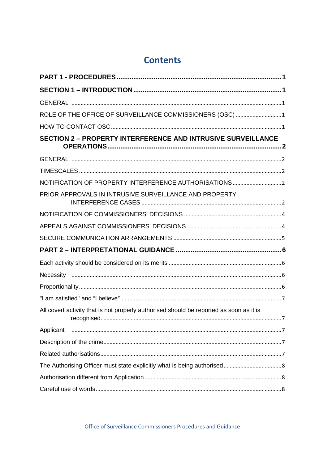# **Contents**

| ROLE OF THE OFFICE OF SURVEILLANCE COMMISSIONERS (OSC) 1                                                                                                                                                                                                                                                                                                                 |  |
|--------------------------------------------------------------------------------------------------------------------------------------------------------------------------------------------------------------------------------------------------------------------------------------------------------------------------------------------------------------------------|--|
|                                                                                                                                                                                                                                                                                                                                                                          |  |
| <b>SECTION 2 - PROPERTY INTERFERENCE AND INTRUSIVE SURVEILLANCE</b>                                                                                                                                                                                                                                                                                                      |  |
|                                                                                                                                                                                                                                                                                                                                                                          |  |
|                                                                                                                                                                                                                                                                                                                                                                          |  |
|                                                                                                                                                                                                                                                                                                                                                                          |  |
| PRIOR APPROVALS IN INTRUSIVE SURVEILLANCE AND PROPERTY                                                                                                                                                                                                                                                                                                                   |  |
|                                                                                                                                                                                                                                                                                                                                                                          |  |
|                                                                                                                                                                                                                                                                                                                                                                          |  |
|                                                                                                                                                                                                                                                                                                                                                                          |  |
|                                                                                                                                                                                                                                                                                                                                                                          |  |
|                                                                                                                                                                                                                                                                                                                                                                          |  |
|                                                                                                                                                                                                                                                                                                                                                                          |  |
|                                                                                                                                                                                                                                                                                                                                                                          |  |
|                                                                                                                                                                                                                                                                                                                                                                          |  |
| All covert activity that is not properly authorised should be reported as soon as it is                                                                                                                                                                                                                                                                                  |  |
| $\begin{array}{c} \rule{2.5cm}{0.4cm} \rule{2.5cm}{0.4cm} \rule{2.5cm}{0.4cm} \rule{2.5cm}{0.4cm} \rule{2.5cm}{0.4cm} \rule{2.5cm}{0.4cm} \rule{2.5cm}{0.4cm} \rule{2.5cm}{0.4cm} \rule{2.5cm}{0.4cm} \rule{2.5cm}{0.4cm} \rule{2.5cm}{0.4cm} \rule{2.5cm}{0.4cm} \rule{2.5cm}{0.4cm} \rule{2.5cm}{0.4cm} \rule{2.5cm}{0.4cm} \rule{2.5cm}{0.4cm} \rule{2.$<br>Applicant |  |
|                                                                                                                                                                                                                                                                                                                                                                          |  |
|                                                                                                                                                                                                                                                                                                                                                                          |  |
|                                                                                                                                                                                                                                                                                                                                                                          |  |
|                                                                                                                                                                                                                                                                                                                                                                          |  |
|                                                                                                                                                                                                                                                                                                                                                                          |  |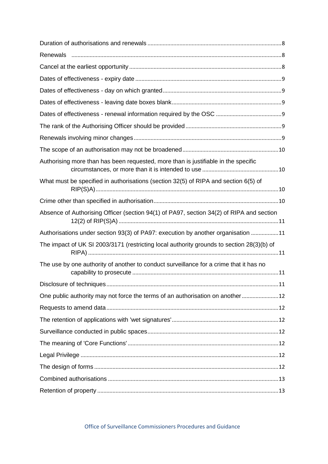| Authorising more than has been requested, more than is justifiable in the specific        |
|-------------------------------------------------------------------------------------------|
| What must be specified in authorisations (section 32(5) of RIPA and section 6(5) of       |
|                                                                                           |
| Absence of Authorising Officer (section 94(1) of PA97, section 34(2) of RIPA and section  |
| Authorisations under section 93(3) of PA97: execution by another organisation 11          |
| The impact of UK SI 2003/3171 (restricting local authority grounds to section 28(3)(b) of |
| The use by one authority of another to conduct surveillance for a crime that it has no    |
|                                                                                           |
| One public authority may not force the terms of an authorisation on another12             |
|                                                                                           |
|                                                                                           |
|                                                                                           |
|                                                                                           |
|                                                                                           |
|                                                                                           |
|                                                                                           |
|                                                                                           |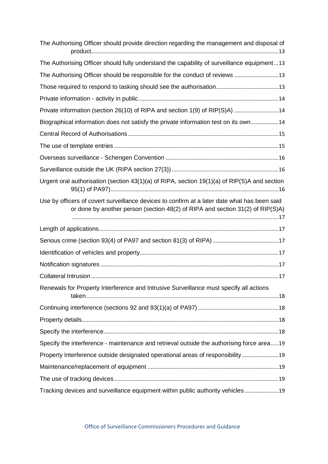| The Authorising Officer should provide direction regarding the management and disposal of                                                                                      |
|--------------------------------------------------------------------------------------------------------------------------------------------------------------------------------|
| The Authorising Officer should fully understand the capability of surveillance equipment13                                                                                     |
| The Authorising Officer should be responsible for the conduct of reviews  13                                                                                                   |
|                                                                                                                                                                                |
|                                                                                                                                                                                |
| Private information (section 26(10) of RIPA and section 1(9) of RIP(S)A)  14                                                                                                   |
| Biographical information does not satisfy the private information test on its own14                                                                                            |
|                                                                                                                                                                                |
|                                                                                                                                                                                |
|                                                                                                                                                                                |
|                                                                                                                                                                                |
| Urgent oral authorisation (section $43(1)(a)$ of RIPA, section $19(1)(a)$ of RIP(S)A and section                                                                               |
| Use by officers of covert surveillance devices to confirm at a later date what has been said<br>or done by another person (section 48(2) of RIPA and section 31(2) of RIP(S)A) |
|                                                                                                                                                                                |
|                                                                                                                                                                                |
|                                                                                                                                                                                |
|                                                                                                                                                                                |
|                                                                                                                                                                                |
| Renewals for Property Interference and Intrusive Surveillance must specify all actions                                                                                         |
|                                                                                                                                                                                |
|                                                                                                                                                                                |
|                                                                                                                                                                                |
| Specify the interference - maintenance and retrieval outside the authorising force area19                                                                                      |
| Property Interference outside designated operational areas of responsibility 19                                                                                                |
|                                                                                                                                                                                |
|                                                                                                                                                                                |
| Tracking devices and surveillance equipment within public authority vehicles 19                                                                                                |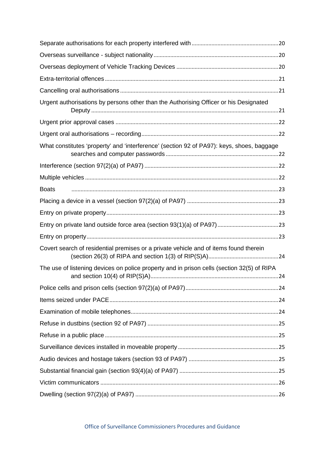| Urgent authorisations by persons other than the Authorising Officer or his Designated      |
|--------------------------------------------------------------------------------------------|
|                                                                                            |
|                                                                                            |
| What constitutes 'property' and 'interference' (section 92 of PA97): keys, shoes, baggage  |
|                                                                                            |
|                                                                                            |
| <b>Boats</b>                                                                               |
|                                                                                            |
|                                                                                            |
|                                                                                            |
|                                                                                            |
| Covert search of residential premises or a private vehicle and of items found therein      |
| The use of listening devices on police property and in prison cells (section 32(5) of RIPA |
|                                                                                            |
|                                                                                            |
|                                                                                            |
|                                                                                            |
|                                                                                            |
|                                                                                            |
|                                                                                            |
|                                                                                            |
|                                                                                            |
|                                                                                            |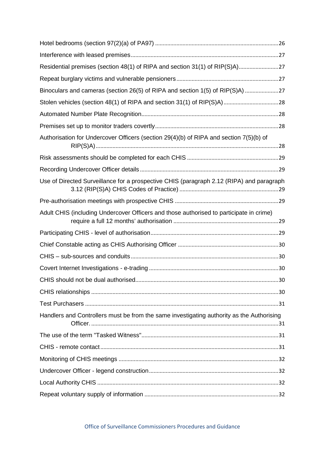| Residential premises (section 48(1) of RIPA and section 31(1) of RIP(S)A)27               |  |
|-------------------------------------------------------------------------------------------|--|
|                                                                                           |  |
|                                                                                           |  |
|                                                                                           |  |
|                                                                                           |  |
|                                                                                           |  |
| Authorisation for Undercover Officers (section 29(4)(b) of RIPA and section 7(5)(b) of    |  |
|                                                                                           |  |
|                                                                                           |  |
| Use of Directed Surveillance for a prospective CHIS (paragraph 2.12 (RIPA) and paragraph  |  |
|                                                                                           |  |
| Adult CHIS (including Undercover Officers and those authorised to participate in crime)   |  |
|                                                                                           |  |
|                                                                                           |  |
|                                                                                           |  |
|                                                                                           |  |
|                                                                                           |  |
|                                                                                           |  |
|                                                                                           |  |
| Handlers and Controllers must be from the same investigating authority as the Authorising |  |
|                                                                                           |  |
|                                                                                           |  |
|                                                                                           |  |
|                                                                                           |  |
|                                                                                           |  |
|                                                                                           |  |

Office of Surveillance Commissioners Procedures and Guidance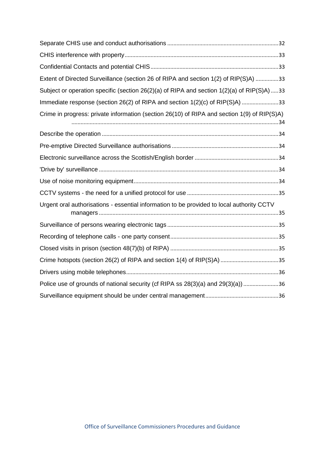| Extent of Directed Surveillance (section 26 of RIPA and section 1(2) of RIP(S)A) 33         |
|---------------------------------------------------------------------------------------------|
| Subject or operation specific (section 26(2)(a) of RIPA and section 1(2)(a) of RIP(S)A) 33  |
| Immediate response (section 26(2) of RIPA and section 1(2)(c) of RIP(S)A) 33                |
| Crime in progress: private information (section 26(10) of RIPA and section 1(9) of RIP(S)A) |
|                                                                                             |
|                                                                                             |
|                                                                                             |
|                                                                                             |
|                                                                                             |
|                                                                                             |
| Urgent oral authorisations - essential information to be provided to local authority CCTV   |
|                                                                                             |
|                                                                                             |
|                                                                                             |
|                                                                                             |
|                                                                                             |
| Police use of grounds of national security (cf RIPA ss 28(3)(a) and 29(3)(a)) 36            |
|                                                                                             |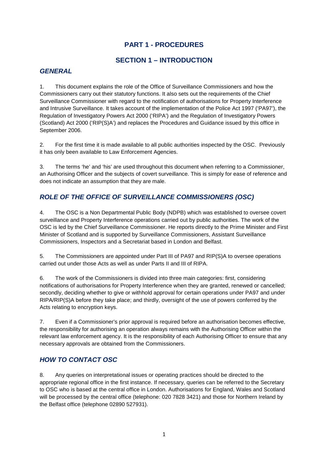# **PART 1 - PROCEDURES**

# **SECTION 1 – INTRODUCTION**

# *GENERAL*

1. This document explains the role of the Office of Surveillance Commissioners and how the Commissioners carry out their statutory functions. It also sets out the requirements of the Chief Surveillance Commissioner with regard to the notification of authorisations for Property Interference and Intrusive Surveillance. It takes account of the implementation of the Police Act 1997 ('PA97'), the Regulation of Investigatory Powers Act 2000 ('RIPA') and the Regulation of Investigatory Powers (Scotland) Act 2000 ('RIP(S)A') and replaces the Procedures and Guidance issued by this office in September 2006.

2. For the first time it is made available to all public authorities inspected by the OSC. Previously it has only been available to Law Enforcement Agencies.

3. The terms 'he' and 'his' are used throughout this document when referring to a Commissioner, an Authorising Officer and the subjects of covert surveillance. This is simply for ease of reference and does not indicate an assumption that they are male.

# *ROLE OF THE OFFICE OF SURVEILLANCE COMMISSIONERS (OSC)*

4. The OSC is a Non Departmental Public Body (NDPB) which was established to oversee covert surveillance and Property Interference operations carried out by public authorities. The work of the OSC is led by the Chief Surveillance Commissioner. He reports directly to the Prime Minister and First Minister of Scotland and is supported by Surveillance Commissioners, Assistant Surveillance Commissioners, Inspectors and a Secretariat based in London and Belfast.

5. The Commissioners are appointed under Part III of PA97 and RIP(S)A to oversee operations carried out under those Acts as well as under Parts II and III of RIPA.

6. The work of the Commissioners is divided into three main categories: first, considering notifications of authorisations for Property Interference when they are granted, renewed or cancelled; secondly, deciding whether to give or withhold approval for certain operations under PA97 and under RIPA/RIP(S)A before they take place; and thirdly, oversight of the use of powers conferred by the Acts relating to encryption keys.

7. Even if a Commissioner's prior approval is required before an authorisation becomes effective, the responsibility for authorising an operation always remains with the Authorising Officer within the relevant law enforcement agency. It is the responsibility of each Authorising Officer to ensure that any necessary approvals are obtained from the Commissioners.

# *HOW TO CONTACT OSC*

8. Any queries on interpretational issues or operating practices should be directed to the appropriate regional office in the first instance. If necessary, queries can be referred to the Secretary to OSC who is based at the central office in London. Authorisations for England, Wales and Scotland will be processed by the central office (telephone: 020 7828 3421) and those for Northern Ireland by the Belfast office (telephone 02890 527931).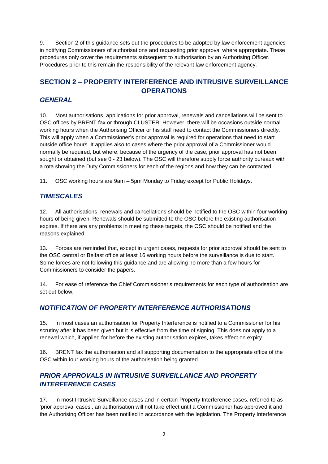9. Section 2 of this guidance sets out the procedures to be adopted by law enforcement agencies in notifying Commissioners of authorisations and requesting prior approval where appropriate. These procedures only cover the requirements subsequent to authorisation by an Authorising Officer. Procedures prior to this remain the responsibility of the relevant law enforcement agency.

# **SECTION 2 – PROPERTY INTERFERENCE AND INTRUSIVE SURVEILLANCE OPERATIONS**

# *GENERAL*

10. Most authorisations, applications for prior approval, renewals and cancellations will be sent to OSC offices by BRENT fax or through CLUSTER. However, there will be occasions outside normal working hours when the Authorising Officer or his staff need to contact the Commissioners directly. This will apply when a Commissioner's prior approval is required for operations that need to start outside office hours. It applies also to cases where the prior approval of a Commissioner would normally be required, but where, because of the urgency of the case, prior approval has not been sought or obtained (but see 0 - 23 below). The OSC will therefore supply force authority bureaux with a rota showing the Duty Commissioners for each of the regions and how they can be contacted.

11. OSC working hours are 9am – 5pm Monday to Friday except for Public Holidays.

# *TIMESCALES*

12. All authorisations, renewals and cancellations should be notified to the OSC within four working hours of being given. Renewals should be submitted to the OSC before the existing authorisation expires. If there are any problems in meeting these targets, the OSC should be notified and the reasons explained.

13. Forces are reminded that, except in urgent cases, requests for prior approval should be sent to the OSC central or Belfast office at least 16 working hours before the surveillance is due to start. Some forces are not following this guidance and are allowing no more than a few hours for Commissioners to consider the papers.

14. For ease of reference the Chief Commissioner's requirements for each type of authorisation are set out below.

# *NOTIFICATION OF PROPERTY INTERFERENCE AUTHORISATIONS*

15. In most cases an authorisation for Property Interference is notified to a Commissioner for his scrutiny after it has been given but it is effective from the time of signing. This does not apply to a renewal which, if applied for before the existing authorisation expires, takes effect on expiry.

16. BRENT fax the authorisation and all supporting documentation to the appropriate office of the OSC within four working hours of the authorisation being granted.

# *PRIOR APPROVALS IN INTRUSIVE SURVEILLANCE AND PROPERTY INTERFERENCE CASES*

17. In most Intrusive Surveillance cases and in certain Property Interference cases, referred to as 'prior approval cases', an authorisation will not take effect until a Commissioner has approved it and the Authorising Officer has been notified in accordance with the legislation. The Property Interference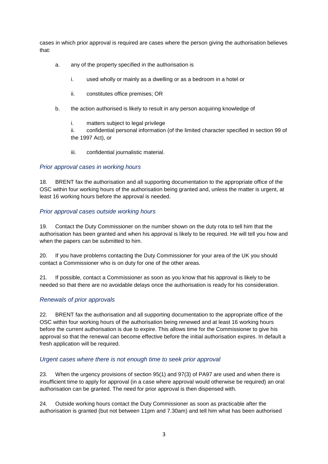cases in which prior approval is required are cases where the person giving the authorisation believes that:

- a. any of the property specified in the authorisation is
	- i. used wholly or mainly as a dwelling or as a bedroom in a hotel or
	- ii. constitutes office premises; OR
- b. the action authorised is likely to result in any person acquiring knowledge of
	- i. matters subject to legal privilege

ii. confidential personal information (of the limited character specified in section 99 of the 1997 Act), or

iii. confidential journalistic material.

#### *Prior approval cases in working hours*

18. BRENT fax the authorisation and all supporting documentation to the appropriate office of the OSC within four working hours of the authorisation being granted and, unless the matter is urgent, at least 16 working hours before the approval is needed.

#### *Prior approval cases outside working hours*

19. Contact the Duty Commissioner on the number shown on the duty rota to tell him that the authorisation has been granted and when his approval is likely to be required. He will tell you how and when the papers can be submitted to him.

20. If you have problems contacting the Duty Commissioner for your area of the UK you should contact a Commissioner who is on duty for one of the other areas.

21. If possible, contact a Commissioner as soon as you know that his approval is likely to be needed so that there are no avoidable delays once the authorisation is ready for his consideration.

#### *Renewals of prior approvals*

22. BRENT fax the authorisation and all supporting documentation to the appropriate office of the OSC within four working hours of the authorisation being renewed and at least 16 working hours before the current authorisation is due to expire. This allows time for the Commissioner to give his approval so that the renewal can become effective before the initial authorisation expires. In default a fresh application will be required.

#### *Urgent cases where there is not enough time to seek prior approval*

23. When the urgency provisions of section 95(1) and 97(3) of PA97 are used and when there is insufficient time to apply for approval (in a case where approval would otherwise be required) an oral authorisation can be granted. The need for prior approval is then dispensed with.

24. Outside working hours contact the Duty Commissioner as soon as practicable after the authorisation is granted (but not between 11pm and 7.30am) and tell him what has been authorised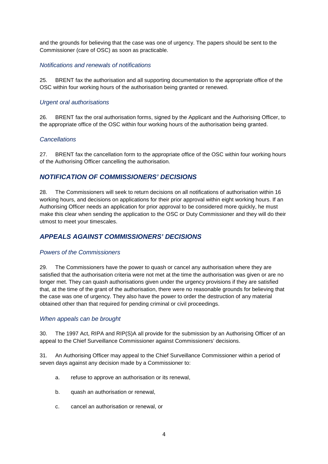and the grounds for believing that the case was one of urgency. The papers should be sent to the Commissioner (care of OSC) as soon as practicable.

#### *Notifications and renewals of notifications*

25. BRENT fax the authorisation and all supporting documentation to the appropriate office of the OSC within four working hours of the authorisation being granted or renewed.

#### *Urgent oral authorisations*

26. BRENT fax the oral authorisation forms, signed by the Applicant and the Authorising Officer, to the appropriate office of the OSC within four working hours of the authorisation being granted.

#### *Cancellations*

27. BRENT fax the cancellation form to the appropriate office of the OSC within four working hours of the Authorising Officer cancelling the authorisation.

#### *NOTIFICATION OF COMMISSIONERS' DECISIONS*

28. The Commissioners will seek to return decisions on all notifications of authorisation within 16 working hours, and decisions on applications for their prior approval within eight working hours. If an Authorising Officer needs an application for prior approval to be considered more quickly, he must make this clear when sending the application to the OSC or Duty Commissioner and they will do their utmost to meet your timescales.

# *APPEALS AGAINST COMMISSIONERS' DECISIONS*

#### *Powers of the Commissioners*

29. The Commissioners have the power to quash or cancel any authorisation where they are satisfied that the authorisation criteria were not met at the time the authorisation was given or are no longer met. They can quash authorisations given under the urgency provisions if they are satisfied that, at the time of the grant of the authorisation, there were no reasonable grounds for believing that the case was one of urgency. They also have the power to order the destruction of any material obtained other than that required for pending criminal or civil proceedings.

#### *When appeals can be brought*

30. The 1997 Act, RIPA and RIP(S)A all provide for the submission by an Authorising Officer of an appeal to the Chief Surveillance Commissioner against Commissioners' decisions.

31. An Authorising Officer may appeal to the Chief Surveillance Commissioner within a period of seven days against any decision made by a Commissioner to:

- a. refuse to approve an authorisation or its renewal,
- b. quash an authorisation or renewal,
- c. cancel an authorisation or renewal, or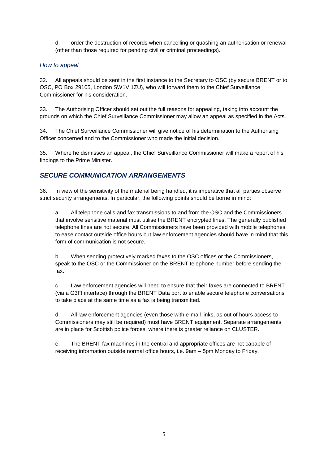d. order the destruction of records when cancelling or quashing an authorisation or renewal (other than those required for pending civil or criminal proceedings).

#### *How to appeal*

32. All appeals should be sent in the first instance to the Secretary to OSC (by secure BRENT or to OSC, PO Box 29105, London SW1V 1ZU), who will forward them to the Chief Surveillance Commissioner for his consideration.

33. The Authorising Officer should set out the full reasons for appealing, taking into account the grounds on which the Chief Surveillance Commissioner may allow an appeal as specified in the Acts.

34. The Chief Surveillance Commissioner will give notice of his determination to the Authorising Officer concerned and to the Commissioner who made the initial decision.

35. Where he dismisses an appeal, the Chief Surveillance Commissioner will make a report of his findings to the Prime Minister.

# *SECURE COMMUNICATION ARRANGEMENTS*

36. In view of the sensitivity of the material being handled, it is imperative that all parties observe strict security arrangements. In particular, the following points should be borne in mind:

a. All telephone calls and fax transmissions to and from the OSC and the Commissioners that involve sensitive material must utilise the BRENT encrypted lines. The generally published telephone lines are not secure. All Commissioners have been provided with mobile telephones to ease contact outside office hours but law enforcement agencies should have in mind that this form of communication is not secure.

b. When sending protectively marked faxes to the OSC offices or the Commissioners, speak to the OSC or the Commissioner on the BRENT telephone number before sending the fax.

c. Law enforcement agencies will need to ensure that their faxes are connected to BRENT (via a G3FI interface) through the BRENT Data port to enable secure telephone conversations to take place at the same time as a fax is being transmitted.

d. All law enforcement agencies (even those with e-mail links, as out of hours access to Commissioners may still be required) must have BRENT equipment. Separate arrangements are in place for Scottish police forces, where there is greater reliance on CLUSTER.

e. The BRENT fax machines in the central and appropriate offices are not capable of receiving information outside normal office hours, i.e. 9am – 5pm Monday to Friday.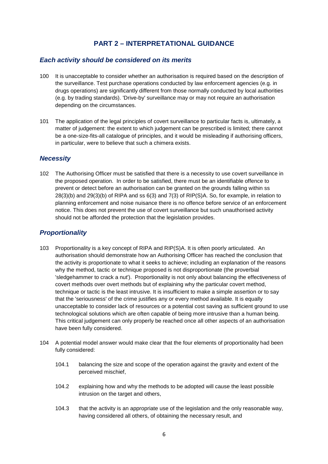# **PART 2 – INTERPRETATIONAL GUIDANCE**

#### *Each activity should be considered on its merits*

- 100 It is unacceptable to consider whether an authorisation is required based on the description of the surveillance. Test purchase operations conducted by law enforcement agencies (e.g. in drugs operations) are significantly different from those normally conducted by local authorities (e.g. by trading standards). 'Drive-by' surveillance may or may not require an authorisation depending on the circumstances.
- 101 The application of the legal principles of covert surveillance to particular facts is, ultimately, a matter of judgement: the extent to which judgement can be prescribed is limited; there cannot be a one-size-fits-all catalogue of principles, and it would be misleading if authorising officers, in particular, were to believe that such a chimera exists.

#### *Necessity*

102 The Authorising Officer must be satisfied that there is a necessity to use covert surveillance in the proposed operation. In order to be satisfied, there must be an identifiable offence to prevent or detect before an authorisation can be granted on the grounds falling within ss 28(3)(b) and 29(3)(b) of RIPA and ss 6(3) and 7(3) of RIP(S)A. So, for example, in relation to planning enforcement and noise nuisance there is no offence before service of an enforcement notice. This does not prevent the use of covert surveillance but such unauthorised activity should not be afforded the protection that the legislation provides.

#### *Proportionality*

- 103 Proportionality is a key concept of RIPA and RIP(S)A. It is often poorly articulated. An authorisation should demonstrate how an Authorising Officer has reached the conclusion that the activity is proportionate to what it seeks to achieve; including an explanation of the reasons why the method, tactic or technique proposed is not disproportionate (the proverbial 'sledgehammer to crack a nut'). Proportionality is not only about balancing the effectiveness of covert methods over overt methods but of explaining why the particular covert method, technique or tactic is the least intrusive. It is insufficient to make a simple assertion or to say that the 'seriousness' of the crime justifies any or every method available. It is equally unacceptable to consider lack of resources or a potential cost saving as sufficient ground to use technological solutions which are often capable of being more intrusive than a human being. This critical judgement can only properly be reached once all other aspects of an authorisation have been fully considered.
- 104 A potential model answer would make clear that the four elements of proportionality had been fully considered:
	- 104.1 balancing the size and scope of the operation against the gravity and extent of the perceived mischief,
	- 104.2 explaining how and why the methods to be adopted will cause the least possible intrusion on the target and others,
	- 104.3 that the activity is an appropriate use of the legislation and the only reasonable way, having considered all others, of obtaining the necessary result, and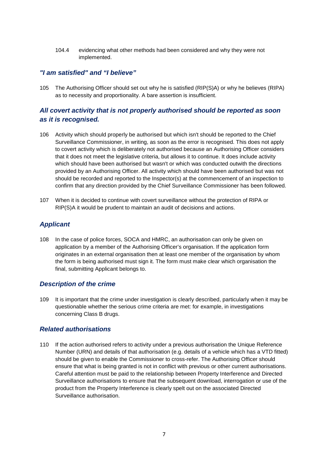104.4 evidencing what other methods had been considered and why they were not implemented.

#### *"I am satisfied" and "I believe"*

105 The Authorising Officer should set out why he is satisfied (RIP(S)A) or why he believes (RIPA) as to necessity and proportionality. A bare assertion is insufficient.

# *All covert activity that is not properly authorised should be reported as soon as it is recognised.*

- 106 Activity which should properly be authorised but which isn't should be reported to the Chief Surveillance Commissioner, in writing, as soon as the error is recognised. This does not apply to covert activity which is deliberately not authorised because an Authorising Officer considers that it does not meet the legislative criteria, but allows it to continue. It does include activity which should have been authorised but wasn't or which was conducted outwith the directions provided by an Authorising Officer. All activity which should have been authorised but was not should be recorded and reported to the Inspector(s) at the commencement of an inspection to confirm that any direction provided by the Chief Surveillance Commissioner has been followed.
- 107 When it is decided to continue with covert surveillance without the protection of RIPA or RIP(S)A it would be prudent to maintain an audit of decisions and actions.

# *Applicant*

108 In the case of police forces, SOCA and HMRC, an authorisation can only be given on application by a member of the Authorising Officer's organisation. If the application form originates in an external organisation then at least one member of the organisation by whom the form is being authorised must sign it. The form must make clear which organisation the final, submitting Applicant belongs to.

#### *Description of the crime*

109 It is important that the crime under investigation is clearly described, particularly when it may be questionable whether the serious crime criteria are met: for example, in investigations concerning Class B drugs.

#### *Related authorisations*

110 If the action authorised refers to activity under a previous authorisation the Unique Reference Number (URN) and details of that authorisation (e.g. details of a vehicle which has a VTD fitted) should be given to enable the Commissioner to cross-refer. The Authorising Officer should ensure that what is being granted is not in conflict with previous or other current authorisations. Careful attention must be paid to the relationship between Property Interference and Directed Surveillance authorisations to ensure that the subsequent download, interrogation or use of the product from the Property Interference is clearly spelt out on the associated Directed Surveillance authorisation.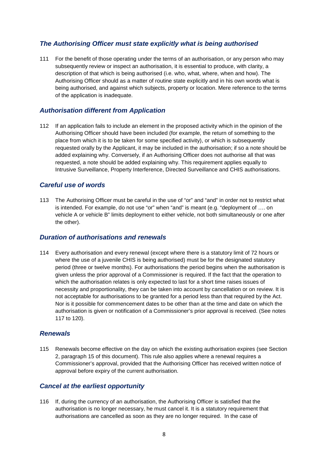# *The Authorising Officer must state explicitly what is being authorised*

111 For the benefit of those operating under the terms of an authorisation, or any person who may subsequently review or inspect an authorisation, it is essential to produce, with clarity, a description of that which is being authorised (i.e. who, what, where, when and how). The Authorising Officer should as a matter of routine state explicitly and in his own words what is being authorised, and against which subjects, property or location. Mere reference to the terms of the application is inadequate.

#### *Authorisation different from Application*

112 If an application fails to include an element in the proposed activity which in the opinion of the Authorising Officer should have been included (for example, the return of something to the place from which it is to be taken for some specified activity), or which is subsequently requested orally by the Applicant, it may be included in the authorisation; if so a note should be added explaining why. Conversely, if an Authorising Officer does not authorise all that was requested, a note should be added explaining why. This requirement applies equally to Intrusive Surveillance, Property Interference, Directed Surveillance and CHIS authorisations.

#### *Careful use of words*

113 The Authorising Officer must be careful in the use of "or" and "and" in order not to restrict what is intended. For example, do not use "or" when "and" is meant (e.g. "deployment of …. on vehicle A or vehicle B" limits deployment to either vehicle, not both simultaneously or one after the other).

#### *Duration of authorisations and renewals*

114 Every authorisation and every renewal (except where there is a statutory limit of 72 hours or where the use of a juvenile CHIS is being authorised) must be for the designated statutory period (three or twelve months). For authorisations the period begins when the authorisation is given unless the prior approval of a Commissioner is required. If the fact that the operation to which the authorisation relates is only expected to last for a short time raises issues of necessity and proportionality, they can be taken into account by cancellation or on review. It is not acceptable for authorisations to be granted for a period less than that required by the Act. Nor is it possible for commencement dates to be other than at the time and date on which the authorisation is given or notification of a Commissioner's prior approval is received. (See notes 117 to 120).

#### *Renewals*

115 Renewals become effective on the day on which the existing authorisation expires (see Section 2, paragraph 15 of this document). This rule also applies where a renewal requires a Commissioner's approval, provided that the Authorising Officer has received written notice of approval before expiry of the current authorisation.

#### *Cancel at the earliest opportunity*

116 If, during the currency of an authorisation, the Authorising Officer is satisfied that the authorisation is no longer necessary, he must cancel it. It is a statutory requirement that authorisations are cancelled as soon as they are no longer required. In the case of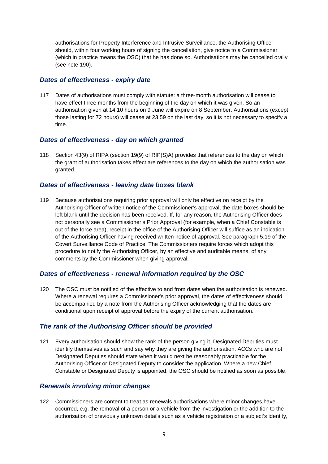authorisations for Property Interference and Intrusive Surveillance, the Authorising Officer should, within four working hours of signing the cancellation, give notice to a Commissioner (which in practice means the OSC) that he has done so. Authorisations may be cancelled orally (see note 190).

#### *Dates of effectiveness - expiry date*

117 Dates of authorisations must comply with statute: a three-month authorisation will cease to have effect three months from the beginning of the day on which it was given. So an authorisation given at 14:10 hours on 9 June will expire on 8 September. Authorisations (except those lasting for 72 hours) will cease at 23:59 on the last day, so it is not necessary to specify a time.

#### *Dates of effectiveness - day on which granted*

118 Section 43(9) of RIPA (section 19(9) of RIP(S)A) provides that references to the day on which the grant of authorisation takes effect are references to the day on which the authorisation was granted.

#### *Dates of effectiveness - leaving date boxes blank*

119 Because authorisations requiring prior approval will only be effective on receipt by the Authorising Officer of written notice of the Commissioner's approval, the date boxes should be left blank until the decision has been received. If, for any reason, the Authorising Officer does not personally see a Commissioner's Prior Approval (for example, when a Chief Constable is out of the force area), receipt in the office of the Authorising Officer will suffice as an indication of the Authorising Officer having received written notice of approval. See paragraph 5.19 of the Covert Surveillance Code of Practice. The Commissioners require forces which adopt this procedure to notify the Authorising Officer, by an effective and auditable means, of any comments by the Commissioner when giving approval.

#### *Dates of effectiveness - renewal information required by the OSC*

120 The OSC must be notified of the effective to and from dates when the authorisation is renewed. Where a renewal requires a Commissioner's prior approval, the dates of effectiveness should be accompanied by a note from the Authorising Officer acknowledging that the dates are conditional upon receipt of approval before the expiry of the current authorisation.

# *The rank of the Authorising Officer should be provided*

121 Every authorisation should show the rank of the person giving it. Designated Deputies must identify themselves as such and say why they are giving the authorisation. ACCs who are not Designated Deputies should state when it would next be reasonably practicable for the Authorising Officer or Designated Deputy to consider the application. Where a new Chief Constable or Designated Deputy is appointed, the OSC should be notified as soon as possible.

#### *Renewals involving minor changes*

122 Commissioners are content to treat as renewals authorisations where minor changes have occurred, e.g. the removal of a person or a vehicle from the investigation or the addition to the authorisation of previously unknown details such as a vehicle registration or a subject's identity,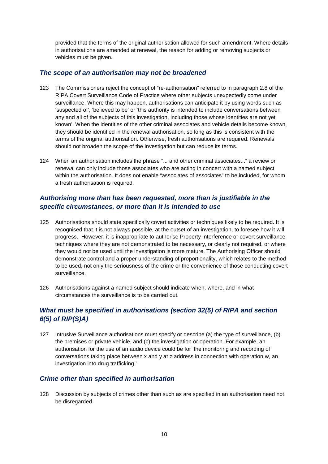provided that the terms of the original authorisation allowed for such amendment. Where details in authorisations are amended at renewal, the reason for adding or removing subjects or vehicles must be given.

# *The scope of an authorisation may not be broadened*

- 123 The Commissioners reject the concept of "re-authorisation" referred to in paragraph 2.8 of the RIPA Covert Surveillance Code of Practice where other subjects unexpectedly come under surveillance. Where this may happen, authorisations can anticipate it by using words such as 'suspected of', 'believed to be' or 'this authority is intended to include conversations between any and all of the subjects of this investigation, including those whose identities are not yet known'. When the identities of the other criminal associates and vehicle details become known, they should be identified in the renewal authorisation, so long as this is consistent with the terms of the original authorisation. Otherwise, fresh authorisations are required. Renewals should not broaden the scope of the investigation but can reduce its terms.
- 124 When an authorisation includes the phrase "... and other criminal associates..." a review or renewal can only include those associates who are acting in concert with a named subject within the authorisation. It does not enable "associates of associates" to be included, for whom a fresh authorisation is required.

# *Authorising more than has been requested, more than is justifiable in the specific circumstances, or more than it is intended to use*

- 125 Authorisations should state specifically covert activities or techniques likely to be required. It is recognised that it is not always possible, at the outset of an investigation, to foresee how it will progress. However, it is inappropriate to authorise Property Interference or covert surveillance techniques where they are not demonstrated to be necessary, or clearly not required, or where they would not be used until the investigation is more mature. The Authorising Officer should demonstrate control and a proper understanding of proportionality, which relates to the method to be used, not only the seriousness of the crime or the convenience of those conducting covert surveillance.
- 126 Authorisations against a named subject should indicate when, where, and in what circumstances the surveillance is to be carried out.

# *What must be specified in authorisations (section 32(5) of RIPA and section 6(5) of RIP(S)A)*

127 Intrusive Surveillance authorisations must specify or describe (a) the type of surveillance, (b) the premises or private vehicle, and (c) the investigation or operation. For example, an authorisation for the use of an audio device could be for 'the monitoring and recording of conversations taking place between x and y at z address in connection with operation w, an investigation into drug trafficking.'

# *Crime other than specified in authorisation*

128 Discussion by subjects of crimes other than such as are specified in an authorisation need not be disregarded.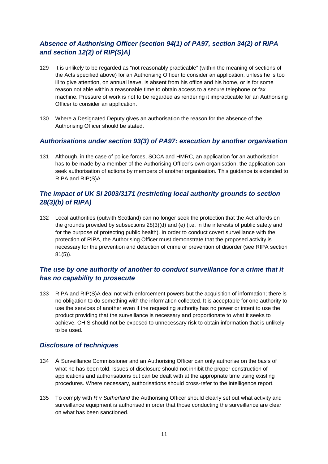# *Absence of Authorising Officer (section 94(1) of PA97, section 34(2) of RIPA and section 12(2) of RIP(S)A)*

- 129 It is unlikely to be regarded as "not reasonably practicable" (within the meaning of sections of the Acts specified above) for an Authorising Officer to consider an application, unless he is too ill to give attention, on annual leave, is absent from his office and his home, or is for some reason not able within a reasonable time to obtain access to a secure telephone or fax machine. Pressure of work is not to be regarded as rendering it impracticable for an Authorising Officer to consider an application.
- 130 Where a Designated Deputy gives an authorisation the reason for the absence of the Authorising Officer should be stated.

# *Authorisations under section 93(3) of PA97: execution by another organisation*

131 Although, in the case of police forces, SOCA and HMRC, an application for an authorisation has to be made by a member of the Authorising Officer's own organisation, the application can seek authorisation of actions by members of another organisation. This guidance is extended to RIPA and RIP(S)A.

# *The impact of UK SI 2003/3171 (restricting local authority grounds to section 28(3)(b) of RIPA)*

132 Local authorities (outwith Scotland) can no longer seek the protection that the Act affords on the grounds provided by subsections 28(3)(d) and (e) (i.e. in the interests of public safety and for the purpose of protecting public health). In order to conduct covert surveillance with the protection of RIPA, the Authorising Officer must demonstrate that the proposed activity is necessary for the prevention and detection of crime or prevention of disorder (see RIPA section 81(5)).

# *The use by one authority of another to conduct surveillance for a crime that it has no capability to prosecute*

133 RIPA and RIP(S)A deal not with enforcement powers but the acquisition of information; there is no obligation to do something with the information collected. It is acceptable for one authority to use the services of another even if the requesting authority has no power or intent to use the product providing that the surveillance is necessary and proportionate to what it seeks to achieve. CHIS should not be exposed to unnecessary risk to obtain information that is unlikely to be used.

# *Disclosure of techniques*

- 134 A Surveillance Commissioner and an Authorising Officer can only authorise on the basis of what he has been told. Issues of disclosure should not inhibit the proper construction of applications and authorisations but can be dealt with at the appropriate time using existing procedures. Where necessary, authorisations should cross-refer to the intelligence report.
- 135 To comply with *R v Sutherland* the Authorising Officer should clearly set out what activity and surveillance equipment is authorised in order that those conducting the surveillance are clear on what has been sanctioned.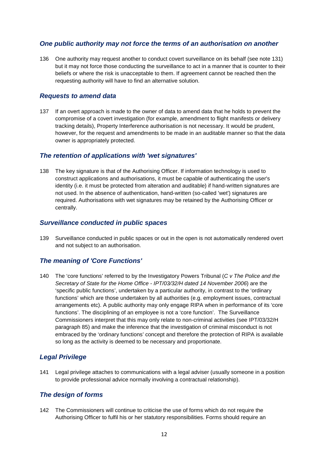# *One public authority may not force the terms of an authorisation on another*

136 One authority may request another to conduct covert surveillance on its behalf (see note 131) but it may not force those conducting the surveillance to act in a manner that is counter to their beliefs or where the risk is unacceptable to them. If agreement cannot be reached then the requesting authority will have to find an alternative solution.

#### *Requests to amend data*

137 If an overt approach is made to the owner of data to amend data that he holds to prevent the compromise of a covert investigation (for example, amendment to flight manifests or delivery tracking details), Property Interference authorisation is not necessary. It would be prudent, however, for the request and amendments to be made in an auditable manner so that the data owner is appropriately protected.

#### *The retention of applications with 'wet signatures'*

138 The key signature is that of the Authorising Officer. If information technology is used to construct applications and authorisations, it must be capable of authenticating the user's identity (i.e. it must be protected from alteration and auditable) if hand-written signatures are not used. In the absence of authentication, hand-written (so-called 'wet') signatures are required. Authorisations with wet signatures may be retained by the Authorising Officer or centrally.

#### *Surveillance conducted in public spaces*

139 Surveillance conducted in public spaces or out in the open is not automatically rendered overt and not subject to an authorisation.

# *The meaning of 'Core Functions'*

140 The 'core functions' referred to by the Investigatory Powers Tribunal (*C v The Police and the Secretary of State for the Home Office - IPT/03/32/H dated 14 November 2006*) are the 'specific public functions', undertaken by a particular authority, in contrast to the 'ordinary functions' which are those undertaken by all authorities (e.g. employment issues, contractual arrangements etc). A public authority may only engage RIPA when in performance of its 'core functions'. The disciplining of an employee is not a 'core function'. The Surveillance Commissioners interpret that this may only relate to non-criminal activities (see IPT/03/32/H paragraph 85) and make the inference that the investigation of criminal misconduct is not embraced by the 'ordinary functions' concept and therefore the protection of RIPA is available so long as the activity is deemed to be necessary and proportionate.

#### *Legal Privilege*

141 Legal privilege attaches to communications with a legal adviser (usually someone in a position to provide professional advice normally involving a contractual relationship).

#### *The design of forms*

142 The Commissioners will continue to criticise the use of forms which do not require the Authorising Officer to fulfil his or her statutory responsibilities. Forms should require an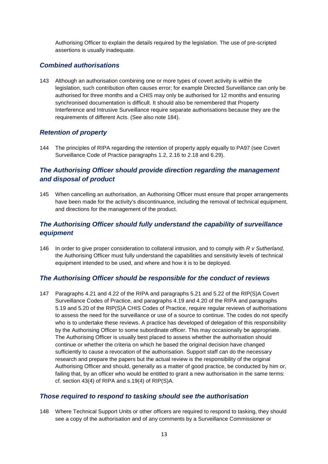Authorising Officer to explain the details required by the legislation. The use of pre-scripted assertions is usually inadequate.

#### *Combined authorisations*

143 Although an authorisation combining one or more types of covert activity is within the legislation, such contribution often causes error; for example Directed Surveillance can only be authorised for three months and a CHIS may only be authorised for 12 months and ensuring synchronised documentation is difficult. It should also be remembered that Property Interference and Intrusive Surveillance require separate authorisations because they are the requirements of different Acts. (See also note 184).

# *Retention of property*

144 The principles of RIPA regarding the retention of property apply equally to PA97 (see Covert Surveillance Code of Practice paragraphs 1.2, 2.16 to 2.18 and 6.29).

# *The Authorising Officer should provide direction regarding the management and disposal of product*

145 When cancelling an authorisation, an Authorising Officer must ensure that proper arrangements have been made for the activity's discontinuance, including the removal of technical equipment, and directions for the management of the product.

# *The Authorising Officer should fully understand the capability of surveillance equipment*

146 In order to give proper consideration to collateral intrusion, and to comply with *R v Sutherland,* the Authorising Officer must fully understand the capabilities and sensitivity levels of technical equipment intended to be used, and where and how it is to be deployed.

# *The Authorising Officer should be responsible for the conduct of reviews*

147 Paragraphs 4.21 and 4.22 of the RIPA and paragraphs 5.21 and 5.22 of the RIP(S)A Covert Surveillance Codes of Practice, and paragraphs 4.19 and 4.20 of the RIPA and paragraphs 5.19 and 5.20 of the RIP(S)A CHIS Codes of Practice, require regular reviews of authorisations to assess the need for the surveillance or use of a source to continue. The codes do not specify who is to undertake these reviews. A practice has developed of delegation of this responsibility by the Authorising Officer to some subordinate officer. This may occasionally be appropriate. The Authorising Officer is usually best placed to assess whether the authorisation should continue or whether the criteria on which he based the original decision have changed sufficiently to cause a revocation of the authorisation. Support staff can do the necessary research and prepare the papers but the actual review is the responsibility of the original Authorising Officer and should, generally as a matter of good practice, be conducted by him or, failing that, by an officer who would be entitled to grant a new authorisation in the same terms: cf. section 43(4) of RIPA and s.19(4) of RIP(S)A.

#### *Those required to respond to tasking should see the authorisation*

148 Where Technical Support Units or other officers are required to respond to tasking, they should see a copy of the authorisation and of any comments by a Surveillance Commissioner or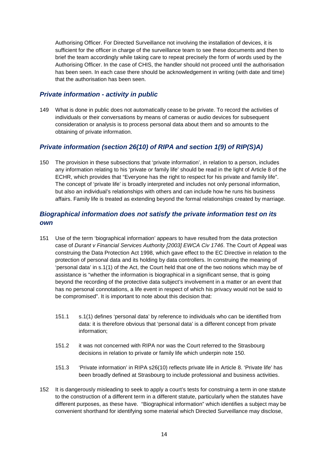Authorising Officer. For Directed Surveillance not involving the installation of devices, it is sufficient for the officer in charge of the surveillance team to see these documents and then to brief the team accordingly while taking care to repeat precisely the form of words used by the Authorising Officer. In the case of CHIS, the handler should not proceed until the authorisation has been seen. In each case there should be acknowledgement in writing (with date and time) that the authorisation has been seen.

# *Private information - activity in public*

149 What is done in public does not automatically cease to be private. To record the activities of individuals or their conversations by means of cameras or audio devices for subsequent consideration or analysis is to process personal data about them and so amounts to the obtaining of private information.

# *Private information (section 26(10) of RIPA and section 1(9) of RIP(S)A)*

150 The provision in these subsections that 'private information', in relation to a person, includes any information relating to his 'private or family life' should be read in the light of Article 8 of the ECHR, which provides that "Everyone has the right to respect for his private and family life". The concept of 'private life' is broadly interpreted and includes not only personal information, but also an individual's relationships with others and can include how he runs his business affairs. Family life is treated as extending beyond the formal relationships created by marriage.

# *Biographical information does not satisfy the private information test on its own*

- 151 Use of the term 'biographical information' appears to have resulted from the data protection case of *Durant v Financial Services Authority [2003] EWCA Civ 1746*. The Court of Appeal was construing the Data Protection Act 1998, which gave effect to the EC Directive in relation to the protection of personal data and its holding by data controllers. In construing the meaning of 'personal data' in s.1(1) of the Act, the Court held that one of the two notions which may be of assistance is "whether the information is biographical in a significant sense, that is going beyond the recording of the protective data subject's involvement in a matter or an event that has no personal connotations, a life event in respect of which his privacy would not be said to be compromised". It is important to note about this decision that:
	- 151.1 s.1(1) defines 'personal data' by reference to individuals who can be identified from data: it is therefore obvious that 'personal data' is a different concept from private information;
	- 151.2 it was not concerned with RIPA nor was the Court referred to the Strasbourg decisions in relation to private or family life which underpin note 150.
	- 151.3 'Private information' in RIPA s26(10) reflects private life in Article 8. 'Private life' has been broadly defined at Strasbourg to include professional and business activities.
- 152 It is dangerously misleading to seek to apply a court's tests for construing a term in one statute to the construction of a different term in a different statute, particularly when the statutes have different purposes, as these have. "Biographical information" which identifies a subject may be convenient shorthand for identifying some material which Directed Surveillance may disclose,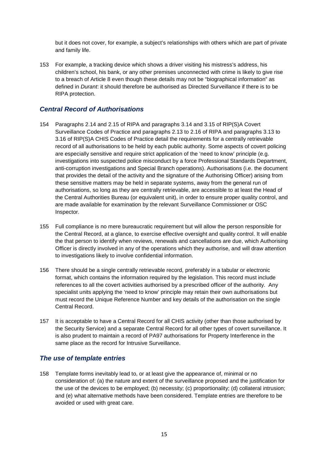but it does not cover, for example, a subject's relationships with others which are part of private and family life.

153 For example, a tracking device which shows a driver visiting his mistress's address, his children's school, his bank, or any other premises unconnected with crime is likely to give rise to a breach of Article 8 even though these details may not be "biographical information" as defined in *Durant*: it should therefore be authorised as Directed Surveillance if there is to be RIPA protection.

#### *Central Record of Authorisations*

- 154 Paragraphs 2.14 and 2.15 of RIPA and paragraphs 3.14 and 3.15 of RIP(S)A Covert Surveillance Codes of Practice and paragraphs 2.13 to 2.16 of RIPA and paragraphs 3.13 to 3.16 of RIP(S)A CHIS Codes of Practice detail the requirements for a centrally retrievable record of all authorisations to be held by each public authority. Some aspects of covert policing are especially sensitive and require strict application of the 'need to know' principle (e.g. investigations into suspected police misconduct by a force Professional Standards Department, anti-corruption investigations and Special Branch operations). Authorisations (i.e. the document that provides the detail of the activity and the signature of the Authorising Officer) arising from these sensitive matters may be held in separate systems, away from the general run of authorisations, so long as they are centrally retrievable, are accessible to at least the Head of the Central Authorities Bureau (or equivalent unit), in order to ensure proper quality control, and are made available for examination by the relevant Surveillance Commissioner or OSC Inspector.
- 155 Full compliance is no mere bureaucratic requirement but will allow the person responsible for the Central Record, at a glance, to exercise effective oversight and quality control. It will enable the that person to identify when reviews, renewals and cancellations are due, which Authorising Officer is directly involved in any of the operations which they authorise, and will draw attention to investigations likely to involve confidential information.
- 156 There should be a single centrally retrievable record, preferably in a tabular or electronic format, which contains the information required by the legislation. This record must include references to all the covert activities authorised by a prescribed officer of the authority. Any specialist units applying the 'need to know' principle may retain their own authorisations but must record the Unique Reference Number and key details of the authorisation on the single Central Record.
- 157 It is acceptable to have a Central Record for all CHIS activity (other than those authorised by the Security Service) and a separate Central Record for all other types of covert surveillance. It is also prudent to maintain a record of PA97 authorisations for Property Interference in the same place as the record for Intrusive Surveillance.

#### *The use of template entries*

158 Template forms inevitably lead to, or at least give the appearance of, minimal or no consideration of: (a) the nature and extent of the surveillance proposed and the justification for the use of the devices to be employed; (b) necessity; (c) proportionality; (d) collateral intrusion; and (e) what alternative methods have been considered. Template entries are therefore to be avoided or used with great care.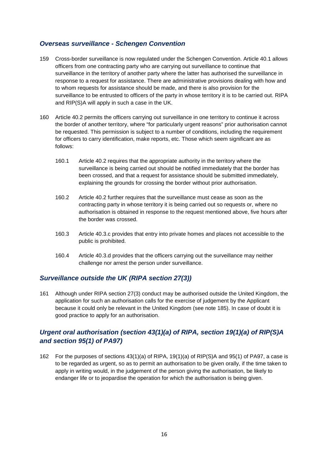# *Overseas surveillance - Schengen Convention*

- 159 Cross-border surveillance is now regulated under the Schengen Convention. Article 40.1 allows officers from one contracting party who are carrying out surveillance to continue that surveillance in the territory of another party where the latter has authorised the surveillance in response to a request for assistance. There are administrative provisions dealing with how and to whom requests for assistance should be made, and there is also provision for the surveillance to be entrusted to officers of the party in whose territory it is to be carried out. RIPA and RIP(S)A will apply in such a case in the UK.
- 160 Article 40.2 permits the officers carrying out surveillance in one territory to continue it across the border of another territory, where "for particularly urgent reasons" prior authorisation cannot be requested. This permission is subject to a number of conditions, including the requirement for officers to carry identification, make reports, etc. Those which seem significant are as follows:
	- 160.1 Article 40.2 requires that the appropriate authority in the territory where the surveillance is being carried out should be notified immediately that the border has been crossed, and that a request for assistance should be submitted immediately, explaining the grounds for crossing the border without prior authorisation.
	- 160.2 Article 40.2 further requires that the surveillance must cease as soon as the contracting party in whose territory it is being carried out so requests or, where no authorisation is obtained in response to the request mentioned above, five hours after the border was crossed.
	- 160.3 Article 40.3.c provides that entry into private homes and places not accessible to the public is prohibited.
	- 160.4 Article 40.3.d provides that the officers carrying out the surveillance may neither challenge nor arrest the person under surveillance.

# *Surveillance outside the UK (RIPA section 27(3))*

161 Although under RIPA section 27(3) conduct may be authorised outside the United Kingdom, the application for such an authorisation calls for the exercise of judgement by the Applicant because it could only be relevant in the United Kingdom (see note 185). In case of doubt it is good practice to apply for an authorisation.

# *Urgent oral authorisation (section 43(1)(a) of RIPA, section 19(1)(a) of RIP(S)A and section 95(1) of PA97)*

162 For the purposes of sections 43(1)(a) of RIPA, 19(1)(a) of RIP(S)A and 95(1) of PA97, a case is to be regarded as urgent, so as to permit an authorisation to be given orally, if the time taken to apply in writing would, in the judgement of the person giving the authorisation, be likely to endanger life or to jeopardise the operation for which the authorisation is being given.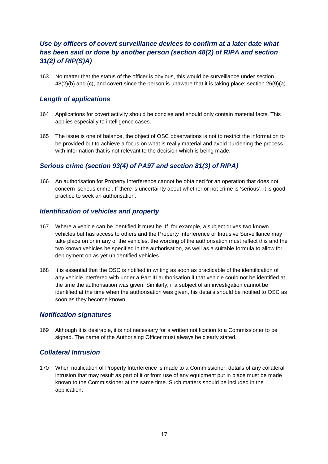# *Use by officers of covert surveillance devices to confirm at a later date what has been said or done by another person (section 48(2) of RIPA and section 31(2) of RIP(S)A)*

163 No matter that the status of the officer is obvious, this would be surveillance under section 48(2)(b) and (c), and covert since the person is unaware that it is taking place: section 26(9)(a).

# *Length of applications*

- 164 Applications for covert activity should be concise and should only contain material facts. This applies especially to intelligence cases.
- 165 The issue is one of balance, the object of OSC observations is not to restrict the information to be provided but to achieve a focus on what is really material and avoid burdening the process with information that is not relevant to the decision which is being made.

# *Serious crime (section 93(4) of PA97 and section 81(3) of RIPA)*

166 An authorisation for Property Interference cannot be obtained for an operation that does not concern 'serious crime'. If there is uncertainty about whether or not crime is 'serious', it is good practice to seek an authorisation.

#### *Identification of vehicles and property*

- 167 Where a vehicle can be identified it must be. If, for example, a subject drives two known vehicles but has access to others and the Property Interference or Intrusive Surveillance may take place on or in any of the vehicles, the wording of the authorisation must reflect this and the two known vehicles be specified in the authorisation, as well as a suitable formula to allow for deployment on as yet unidentified vehicles.
- 168 It is essential that the OSC is notified in writing as soon as practicable of the identification of any vehicle interfered with under a Part III authorisation if that vehicle could not be identified at the time the authorisation was given. Similarly, if a subject of an investigation cannot be identified at the time when the authorisation was given, his details should be notified to OSC as soon as they become known.

#### *Notification signatures*

169 Although it is desirable, it is not necessary for a written notification to a Commissioner to be signed. The name of the Authorising Officer must always be clearly stated.

#### *Collateral Intrusion*

170 When notification of Property Interference is made to a Commissioner, details of any collateral intrusion that may result as part of it or from use of any equipment put in place must be made known to the Commissioner at the same time. Such matters should be included in the application.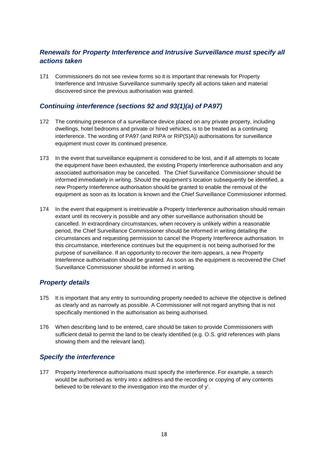# *Renewals for Property Interference and Intrusive Surveillance must specify all actions taken*

171 Commissioners do not see review forms so it is important that renewals for Property Interference and Intrusive Surveillance summarily specify all actions taken and material discovered since the previous authorisation was granted.

# *Continuing interference (sections 92 and 93(1)(a) of PA97)*

- 172 The continuing presence of a surveillance device placed on any private property, including dwellings, hotel bedrooms and private or hired vehicles, is to be treated as a continuing interference. The wording of PA97 (and RIPA or RIP(S)A)) authorisations for surveillance equipment must cover its continued presence.
- 173 In the event that surveillance equipment is considered to be lost, and if all attempts to locate the equipment have been exhausted, the existing Property Interference authorisation and any associated authorisation may be cancelled. The Chief Surveillance Commissioner should be informed immediately in writing. Should the equipment's location subsequently be identified, a new Property Interference authorisation should be granted to enable the removal of the equipment as soon as its location is known and the Chief Surveillance Commissioner informed.
- 174 In the event that equipment is irretrievable a Property Interference authorisation should remain extant until its recovery is possible and any other surveillance authorisation should be cancelled. In extraordinary circumstances, when recovery is unlikely within a reasonable period, the Chief Surveillance Commissioner should be informed in writing detailing the circumstances and requesting permission to cancel the Property Interference authorisation. In this circumstance, interference continues but the equipment is not being authorised for the purpose of surveillance. If an opportunity to recover the item appears, a new Property Interference authorisation should be granted. As soon as the equipment is recovered the Chief Surveillance Commissioner should be informed in writing.

# *Property details*

- 175 It is important that any entry to surrounding property needed to achieve the objective is defined as clearly and as narrowly as possible. A Commissioner will not regard anything that is not specifically mentioned in the authorisation as being authorised.
- 176 When describing land to be entered, care should be taken to provide Commissioners with sufficient detail to permit the land to be clearly identified (e.g. O.S. grid references with plans showing them and the relevant land).

#### *Specify the interference*

177 Property Interference authorisations must specify the interference. For example, a search would be authorised as 'entry into x address and the recording or copying of any contents believed to be relevant to the investigation into the murder of y'.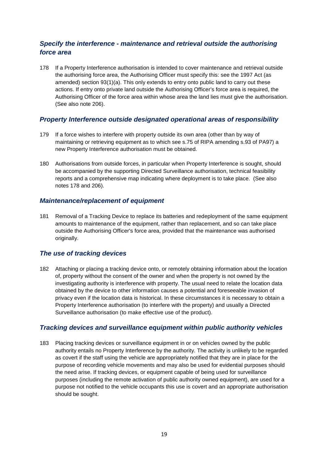# *Specify the interference - maintenance and retrieval outside the authorising force area*

178 If a Property Interference authorisation is intended to cover maintenance and retrieval outside the authorising force area, the Authorising Officer must specify this: see the 1997 Act (as amended) section 93(1)(a). This only extends to entry onto public land to carry out these actions. If entry onto private land outside the Authorising Officer's force area is required, the Authorising Officer of the force area within whose area the land lies must give the authorisation. (See also note 206).

#### *Property Interference outside designated operational areas of responsibility*

- 179 If a force wishes to interfere with property outside its own area (other than by way of maintaining or retrieving equipment as to which see s.75 of RIPA amending s.93 of PA97) a new Property Interference authorisation must be obtained.
- 180 Authorisations from outside forces, in particular when Property Interference is sought, should be accompanied by the supporting Directed Surveillance authorisation, technical feasibility reports and a comprehensive map indicating where deployment is to take place. (See also notes 178 and 206).

#### *Maintenance/replacement of equipment*

181 Removal of a Tracking Device to replace its batteries and redeployment of the same equipment amounts to maintenance of the equipment, rather than replacement, and so can take place outside the Authorising Officer's force area, provided that the maintenance was authorised originally.

# *The use of tracking devices*

182 Attaching or placing a tracking device onto, or remotely obtaining information about the location of, property without the consent of the owner and when the property is not owned by the investigating authority is interference with property. The usual need to relate the location data obtained by the device to other information causes a potential and foreseeable invasion of privacy even if the location data is historical. In these circumstances it is necessary to obtain a Property Interference authorisation (to interfere with the property) and usually a Directed Surveillance authorisation (to make effective use of the product).

# *Tracking devices and surveillance equipment within public authority vehicles*

183 Placing tracking devices or surveillance equipment in or on vehicles owned by the public authority entails no Property Interference by the authority. The activity is unlikely to be regarded as covert if the staff using the vehicle are appropriately notified that they are in place for the purpose of recording vehicle movements and may also be used for evidential purposes should the need arise. If tracking devices, or equipment capable of being used for surveillance purposes (including the remote activation of public authority owned equipment), are used for a purpose not notified to the vehicle occupants this use is covert and an appropriate authorisation should be sought.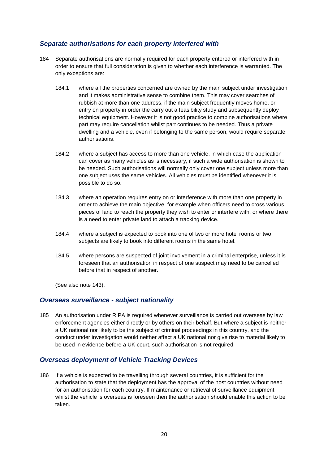# *Separate authorisations for each property interfered with*

- 184 Separate authorisations are normally required for each property entered or interfered with in order to ensure that full consideration is given to whether each interference is warranted. The only exceptions are:
	- 184.1 where all the properties concerned are owned by the main subject under investigation and it makes administrative sense to combine them. This may cover searches of rubbish at more than one address, if the main subject frequently moves home, or entry on property in order the carry out a feasibility study and subsequently deploy technical equipment. However it is not good practice to combine authorisations where part may require cancellation whilst part continues to be needed. Thus a private dwelling and a vehicle, even if belonging to the same person, would require separate authorisations.
	- 184.2 where a subject has access to more than one vehicle, in which case the application can cover as many vehicles as is necessary, if such a wide authorisation is shown to be needed. Such authorisations will normally only cover one subject unless more than one subject uses the same vehicles. All vehicles must be identified whenever it is possible to do so.
	- 184.3 where an operation requires entry on or interference with more than one property in order to achieve the main objective, for example when officers need to cross various pieces of land to reach the property they wish to enter or interfere with, or where there is a need to enter private land to attach a tracking device.
	- 184.4 where a subject is expected to book into one of two or more hotel rooms or two subjects are likely to book into different rooms in the same hotel.
	- 184.5 where persons are suspected of joint involvement in a criminal enterprise, unless it is foreseen that an authorisation in respect of one suspect may need to be cancelled before that in respect of another.

(See also note 143).

#### *Overseas surveillance - subject nationality*

185 An authorisation under RIPA is required whenever surveillance is carried out overseas by law enforcement agencies either directly or by others on their behalf. But where a subject is neither a UK national nor likely to be the subject of criminal proceedings in this country, and the conduct under investigation would neither affect a UK national nor give rise to material likely to be used in evidence before a UK court, such authorisation is not required.

#### *Overseas deployment of Vehicle Tracking Devices*

186 If a vehicle is expected to be travelling through several countries, it is sufficient for the authorisation to state that the deployment has the approval of the host countries without need for an authorisation for each country. If maintenance or retrieval of surveillance equipment whilst the vehicle is overseas is foreseen then the authorisation should enable this action to be taken.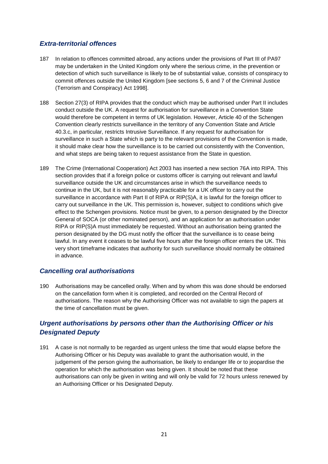# *Extra-territorial offences*

- 187 In relation to offences committed abroad, any actions under the provisions of Part III of PA97 may be undertaken in the United Kingdom only where the serious crime, in the prevention or detection of which such surveillance is likely to be of substantial value, consists of conspiracy to commit offences outside the United Kingdom [see sections 5, 6 and 7 of the Criminal Justice (Terrorism and Conspiracy) Act 1998].
- 188 Section 27(3) of RIPA provides that the conduct which may be authorised under Part II includes conduct outside the UK. A request for authorisation for surveillance in a Convention State would therefore be competent in terms of UK legislation. However, Article 40 of the Schengen Convention clearly restricts surveillance in the territory of any Convention State and Article 40.3.c, in particular, restricts Intrusive Surveillance. If any request for authorisation for surveillance in such a State which is party to the relevant provisions of the Convention is made, it should make clear how the surveillance is to be carried out consistently with the Convention, and what steps are being taken to request assistance from the State in question.
- 189 The Crime (International Cooperation) Act 2003 has inserted a new section 76A into RIPA. This section provides that if a foreign police or customs officer is carrying out relevant and lawful surveillance outside the UK and circumstances arise in which the surveillance needs to continue in the UK, but it is not reasonably practicable for a UK officer to carry out the surveillance in accordance with Part II of RIPA or RIP(S)A, it is lawful for the foreign officer to carry out surveillance in the UK. This permission is, however, subject to conditions which give effect to the Schengen provisions. Notice must be given, to a person designated by the Director General of SOCA (or other nominated person), and an application for an authorisation under RIPA or RIP(S)A must immediately be requested. Without an authorisation being granted the person designated by the DG must notify the officer that the surveillance is to cease being lawful. In any event it ceases to be lawful five hours after the foreign officer enters the UK. This very short timeframe indicates that authority for such surveillance should normally be obtained in advance.

# *Cancelling oral authorisations*

190 Authorisations may be cancelled orally. When and by whom this was done should be endorsed on the cancellation form when it is completed, and recorded on the Central Record of authorisations. The reason why the Authorising Officer was not available to sign the papers at the time of cancellation must be given.

# *Urgent authorisations by persons other than the Authorising Officer or his Designated Deputy*

191 A case is not normally to be regarded as urgent unless the time that would elapse before the Authorising Officer or his Deputy was available to grant the authorisation would, in the judgement of the person giving the authorisation, be likely to endanger life or to jeopardise the operation for which the authorisation was being given. It should be noted that these authorisations can only be given in writing and will only be valid for 72 hours unless renewed by an Authorising Officer or his Designated Deputy.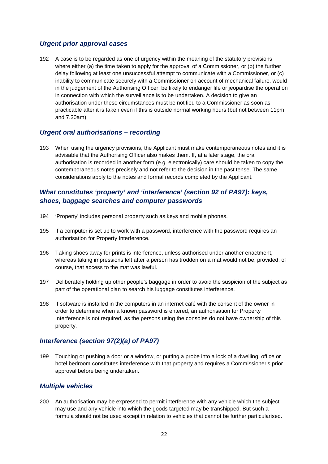# *Urgent prior approval cases*

192 A case is to be regarded as one of urgency within the meaning of the statutory provisions where either (a) the time taken to apply for the approval of a Commissioner, or (b) the further delay following at least one unsuccessful attempt to communicate with a Commissioner, or (c) inability to communicate securely with a Commissioner on account of mechanical failure, would in the judgement of the Authorising Officer, be likely to endanger life or jeopardise the operation in connection with which the surveillance is to be undertaken. A decision to give an authorisation under these circumstances must be notified to a Commissioner as soon as practicable after it is taken even if this is outside normal working hours (but not between 11pm and 7.30am).

# *Urgent oral authorisations – recording*

193 When using the urgency provisions, the Applicant must make contemporaneous notes and it is advisable that the Authorising Officer also makes them. If, at a later stage, the oral authorisation is recorded in another form (e.g. electronically) care should be taken to copy the contemporaneous notes precisely and not refer to the decision in the past tense. The same considerations apply to the notes and formal records completed by the Applicant.

# *What constitutes 'property' and 'interference' (section 92 of PA97): keys, shoes, baggage searches and computer passwords*

- 194 'Property' includes personal property such as keys and mobile phones.
- 195 If a computer is set up to work with a password, interference with the password requires an authorisation for Property Interference.
- 196 Taking shoes away for prints is interference, unless authorised under another enactment, whereas taking impressions left after a person has trodden on a mat would not be, provided, of course, that access to the mat was lawful.
- 197 Deliberately holding up other people's baggage in order to avoid the suspicion of the subject as part of the operational plan to search his luggage constitutes interference.
- 198 If software is installed in the computers in an internet café with the consent of the owner in order to determine when a known password is entered, an authorisation for Property Interference is not required, as the persons using the consoles do not have ownership of this property.

# *Interference (section 97(2)(a) of PA97)*

199 Touching or pushing a door or a window, or putting a probe into a lock of a dwelling, office or hotel bedroom constitutes interference with that property and requires a Commissioner's prior approval before being undertaken.

#### *Multiple vehicles*

200 An authorisation may be expressed to permit interference with any vehicle which the subject may use and any vehicle into which the goods targeted may be transhipped. But such a formula should not be used except in relation to vehicles that cannot be further particularised.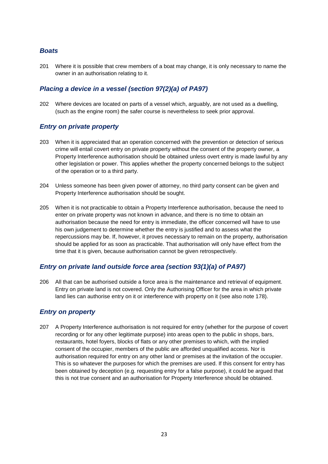#### *Boats*

201 Where it is possible that crew members of a boat may change, it is only necessary to name the owner in an authorisation relating to it.

# *Placing a device in a vessel (section 97(2)(a) of PA97)*

202 Where devices are located on parts of a vessel which, arguably, are not used as a dwelling, (such as the engine room) the safer course is nevertheless to seek prior approval.

#### *Entry on private property*

- 203 When it is appreciated that an operation concerned with the prevention or detection of serious crime will entail covert entry on private property without the consent of the property owner, a Property Interference authorisation should be obtained unless overt entry is made lawful by any other legislation or power. This applies whether the property concerned belongs to the subject of the operation or to a third party.
- 204 Unless someone has been given power of attorney, no third party consent can be given and Property Interference authorisation should be sought.
- 205 When it is not practicable to obtain a Property Interference authorisation, because the need to enter on private property was not known in advance, and there is no time to obtain an authorisation because the need for entry is immediate, the officer concerned will have to use his own judgement to determine whether the entry is justified and to assess what the repercussions may be. If, however, it proves necessary to remain on the property, authorisation should be applied for as soon as practicable. That authorisation will only have effect from the time that it is given, because authorisation cannot be given retrospectively.

# *Entry on private land outside force area (section 93(1)(a) of PA97)*

206 All that can be authorised outside a force area is the maintenance and retrieval of equipment. Entry on private land is not covered. Only the Authorising Officer for the area in which private land lies can authorise entry on it or interference with property on it (see also note 178).

#### *Entry on property*

207 A Property Interference authorisation is not required for entry (whether for the purpose of covert recording or for any other legitimate purpose) into areas open to the public in shops, bars, restaurants, hotel foyers, blocks of flats or any other premises to which, with the implied consent of the occupier, members of the public are afforded unqualified access. Nor is authorisation required for entry on any other land or premises at the invitation of the occupier. This is so whatever the purposes for which the premises are used. If this consent for entry has been obtained by deception (e.g. requesting entry for a false purpose), it could be argued that this is not true consent and an authorisation for Property Interference should be obtained.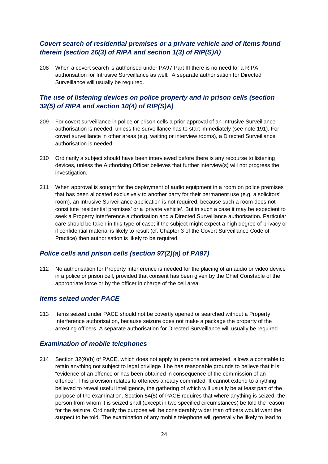# *Covert search of residential premises or a private vehicle and of items found therein (section 26(3) of RIPA and section 1(3) of RIP(S)A)*

208 When a covert search is authorised under PA97 Part III there is no need for a RIPA authorisation for Intrusive Surveillance as well. A separate authorisation for Directed Surveillance will usually be required.

# *The use of listening devices on police property and in prison cells (section 32(5) of RIPA and section 10(4) of RIP(S)A)*

- 209 For covert surveillance in police or prison cells a prior approval of an Intrusive Surveillance authorisation is needed, unless the surveillance has to start immediately (see note 191). For covert surveillance in other areas (e.g. waiting or interview rooms), a Directed Surveillance authorisation is needed.
- 210 Ordinarily a subject should have been interviewed before there is any recourse to listening devices, unless the Authorising Officer believes that further interview(s) will not progress the investigation.
- 211 When approval is sought for the deployment of audio equipment in a room on police premises that has been allocated exclusively to another party for their permanent use (e.g. a solicitors' room), an Intrusive Surveillance application is not required, because such a room does not constitute 'residential premises' or a 'private vehicle'. But in such a case it may be expedient to seek a Property Interference authorisation and a Directed Surveillance authorisation. Particular care should be taken in this type of case; if the subject might expect a high degree of privacy or if confidential material is likely to result (cf. Chapter 3 of the Covert Surveillance Code of Practice) then authorisation is likely to be required.

# *Police cells and prison cells (section 97(2)(a) of PA97)*

212 No authorisation for Property Interference is needed for the placing of an audio or video device in a police or prison cell, provided that consent has been given by the Chief Constable of the appropriate force or by the officer in charge of the cell area.

# *Items seized under PACE*

213 Items seized under PACE should not be covertly opened or searched without a Property Interference authorisation, because seizure does not make a package the property of the arresting officers. A separate authorisation for Directed Surveillance will usually be required.

# *Examination of mobile telephones*

214 Section 32(9)(b) of PACE, which does not apply to persons not arrested, allows a constable to retain anything not subject to legal privilege if he has reasonable grounds to believe that it is "evidence of an offence or has been obtained in consequence of the commission of an offence". This provision relates to offences already committed. It cannot extend to anything believed to reveal useful intelligence, the gathering of which will usually be at least part of the purpose of the examination. Section 54(5) of PACE requires that where anything is seized, the person from whom it is seized shall (except in two specified circumstances) be told the reason for the seizure. Ordinarily the purpose will be considerably wider than officers would want the suspect to be told. The examination of any mobile telephone will generally be likely to lead to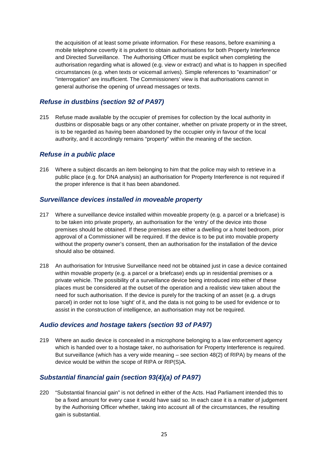the acquisition of at least some private information. For these reasons, before examining a mobile telephone covertly it is prudent to obtain authorisations for both Property Interference and Directed Surveillance. The Authorising Officer must be explicit when completing the authorisation regarding what is allowed (e.g. view or extract) and what is to happen in specified circumstances (e.g. when texts or voicemail arrives). Simple references to "examination" or "interrogation" are insufficient. The Commissioners' view is that authorisations cannot in general authorise the opening of unread messages or texts.

# *Refuse in dustbins (section 92 of PA97)*

215 Refuse made available by the occupier of premises for collection by the local authority in dustbins or disposable bags or any other container, whether on private property or in the street, is to be regarded as having been abandoned by the occupier only in favour of the local authority, and it accordingly remains "property" within the meaning of the section.

#### *Refuse in a public place*

216 Where a subject discards an item belonging to him that the police may wish to retrieve in a public place (e.g. for DNA analysis) an authorisation for Property Interference is not required if the proper inference is that it has been abandoned.

# *Surveillance devices installed in moveable property*

- 217 Where a surveillance device installed within moveable property (e.g. a parcel or a briefcase) is to be taken into private property, an authorisation for the 'entry' of the device into those premises should be obtained. If these premises are either a dwelling or a hotel bedroom, prior approval of a Commissioner will be required. If the device is to be put into movable property without the property owner's consent, then an authorisation for the installation of the device should also be obtained.
- 218 An authorisation for Intrusive Surveillance need not be obtained just in case a device contained within movable property (e.g. a parcel or a briefcase) ends up in residential premises or a private vehicle. The possibility of a surveillance device being introduced into either of these places must be considered at the outset of the operation and a realistic view taken about the need for such authorisation. If the device is purely for the tracking of an asset (e.g. a drugs parcel) in order not to lose 'sight' of it, and the data is not going to be used for evidence or to assist in the construction of intelligence, an authorisation may not be required.

# *Audio devices and hostage takers (section 93 of PA97)*

219 Where an audio device is concealed in a microphone belonging to a law enforcement agency which is handed over to a hostage taker, no authorisation for Property Interference is required. But surveillance (which has a very wide meaning – see section 48(2) of RIPA) by means of the device would be within the scope of RIPA or RIP(S)A.

# *Substantial financial gain (section 93(4)(a) of PA97)*

220 "Substantial financial gain" is not defined in either of the Acts. Had Parliament intended this to be a fixed amount for every case it would have said so. In each case it is a matter of judgement by the Authorising Officer whether, taking into account all of the circumstances, the resulting gain is substantial.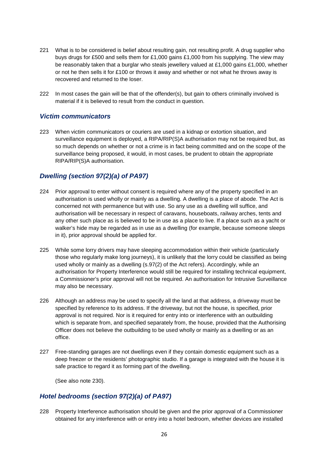- 221 What is to be considered is belief about resulting gain, not resulting profit. A drug supplier who buys drugs for £500 and sells them for £1,000 gains £1,000 from his supplying. The view may be reasonably taken that a burglar who steals jewellery valued at £1,000 gains £1,000, whether or not he then sells it for £100 or throws it away and whether or not what he throws away is recovered and returned to the loser.
- 222 In most cases the gain will be that of the offender(s), but gain to others criminally involved is material if it is believed to result from the conduct in question.

#### *Victim communicators*

223 When victim communicators or couriers are used in a kidnap or extortion situation, and surveillance equipment is deployed, a RIPA/RIP(S)A authorisation may not be required but, as so much depends on whether or not a crime is in fact being committed and on the scope of the surveillance being proposed, it would, in most cases, be prudent to obtain the appropriate RIPA/RIP(S)A authorisation.

# *Dwelling (section 97(2)(a) of PA97)*

- 224 Prior approval to enter without consent is required where any of the property specified in an authorisation is used wholly or mainly as a dwelling. A dwelling is a place of abode. The Act is concerned not with permanence but with use. So any use as a dwelling will suffice, and authorisation will be necessary in respect of caravans, houseboats, railway arches, tents and any other such place as is believed to be in use as a place to live. If a place such as a yacht or walker's hide may be regarded as in use as a dwelling (for example, because someone sleeps in it), prior approval should be applied for.
- 225 While some lorry drivers may have sleeping accommodation within their vehicle (particularly those who regularly make long journeys), it is unlikely that the lorry could be classified as being used wholly or mainly as a dwelling (s.97(2) of the Act refers). Accordingly, while an authorisation for Property Interference would still be required for installing technical equipment, a Commissioner's prior approval will not be required. An authorisation for Intrusive Surveillance may also be necessary.
- 226 Although an address may be used to specify all the land at that address, a driveway must be specified by reference to its address. If the driveway, but not the house, is specified, prior approval is not required. Nor is it required for entry into or interference with an outbuilding which is separate from, and specified separately from, the house, provided that the Authorising Officer does not believe the outbuilding to be used wholly or mainly as a dwelling or as an office.
- 227 Free-standing garages are not dwellings even if they contain domestic equipment such as a deep freezer or the residents' photographic studio. If a garage is integrated with the house it is safe practice to regard it as forming part of the dwelling.

(See also note 230).

# *Hotel bedrooms (section 97(2)(a) of PA97)*

228 Property Interference authorisation should be given and the prior approval of a Commissioner obtained for any interference with or entry into a hotel bedroom, whether devices are installed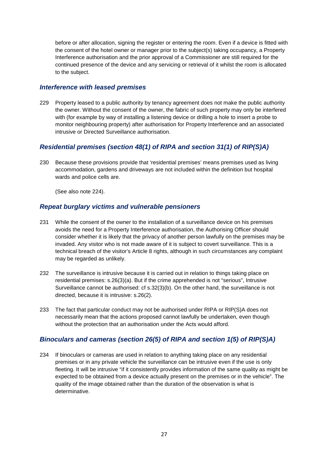before or after allocation, signing the register or entering the room. Even if a device is fitted with the consent of the hotel owner or manager prior to the subject(s) taking occupancy, a Property Interference authorisation and the prior approval of a Commissioner are still required for the continued presence of the device and any servicing or retrieval of it whilst the room is allocated to the subject.

#### *Interference with leased premises*

229 Property leased to a public authority by tenancy agreement does not make the public authority the owner. Without the consent of the owner, the fabric of such property may only be interfered with (for example by way of installing a listening device or drilling a hole to insert a probe to monitor neighbouring property) after authorisation for Property Interference and an associated intrusive or Directed Surveillance authorisation.

# *Residential premises (section 48(1) of RIPA and section 31(1) of RIP(S)A)*

230 Because these provisions provide that 'residential premises' means premises used as living accommodation, gardens and driveways are not included within the definition but hospital wards and police cells are.

(See also note 224).

#### *Repeat burglary victims and vulnerable pensioners*

- 231 While the consent of the owner to the installation of a surveillance device on his premises avoids the need for a Property Interference authorisation, the Authorising Officer should consider whether it is likely that the privacy of another person lawfully on the premises may be invaded. Any visitor who is not made aware of it is subject to covert surveillance. This is a technical breach of the visitor's Article 8 rights, although in such circumstances any complaint may be regarded as unlikely.
- 232 The surveillance is intrusive because it is carried out in relation to things taking place on residential premises: s.26(3)(a). But if the crime apprehended is not "serious", Intrusive Surveillance cannot be authorised: cf s.32(3)(b). On the other hand, the surveillance is not directed, because it is intrusive: s.26(2).
- 233 The fact that particular conduct may not be authorised under RIPA or RIP(S)A does not necessarily mean that the actions proposed cannot lawfully be undertaken, even though without the protection that an authorisation under the Acts would afford.

# *Binoculars and cameras (section 26(5) of RIPA and section 1(5) of RIP(S)A)*

234 If binoculars or cameras are used in relation to anything taking place on any residential premises or in any private vehicle the surveillance can be intrusive even if the use is only fleeting. It will be intrusive "if it consistently provides information of the same quality as might be expected to be obtained from a device actually present on the premises or in the vehicle". The quality of the image obtained rather than the duration of the observation is what is determinative.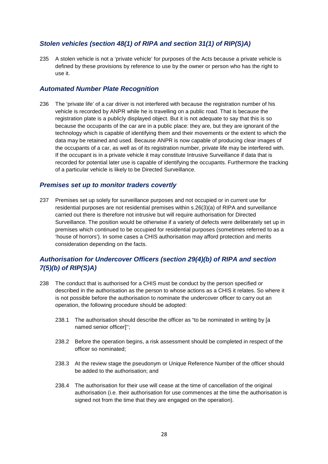# *Stolen vehicles (section 48(1) of RIPA and section 31(1) of RIP(S)A)*

235 A stolen vehicle is not a 'private vehicle' for purposes of the Acts because a private vehicle is defined by these provisions by reference to use by the owner or person who has the right to use it.

#### *Automated Number Plate Recognition*

236 The 'private life' of a car driver is not interfered with because the registration number of his vehicle is recorded by ANPR while he is travelling on a public road. That is because the registration plate is a publicly displayed object. But it is not adequate to say that this is so because the occupants of the car are in a public place: they are, but they are ignorant of the technology which is capable of identifying them and their movements or the extent to which the data may be retained and used. Because ANPR is now capable of producing clear images of the occupants of a car, as well as of its registration number, private life may be interfered with. If the occupant is in a private vehicle it may constitute Intrusive Surveillance if data that is recorded for potential later use is capable of identifying the occupants. Furthermore the tracking of a particular vehicle is likely to be Directed Surveillance.

#### *Premises set up to monitor traders covertly*

237 Premises set up solely for surveillance purposes and not occupied or in current use for residential purposes are not residential premises within s.26(3)(a) of RIPA and surveillance carried out there is therefore not intrusive but will require authorisation for Directed Surveillance. The position would be otherwise if a variety of defects were deliberately set up in premises which continued to be occupied for residential purposes (sometimes referred to as a 'house of horrors'). In some cases a CHIS authorisation may afford protection and merits consideration depending on the facts.

# *Authorisation for Undercover Officers (section 29(4)(b) of RIPA and section 7(5)(b) of RIP(S)A)*

- 238 The conduct that is authorised for a CHIS must be conduct by the person specified or described in the authorisation as the person to whose actions as a CHIS it relates. So where it is not possible before the authorisation to nominate the undercover officer to carry out an operation, the following procedure should be adopted:
	- 238.1 The authorisation should describe the officer as "to be nominated in writing by [a named senior officer]'';
	- 238.2 Before the operation begins, a risk assessment should be completed in respect of the officer so nominated;
	- 238.3 At the review stage the pseudonym or Unique Reference Number of the officer should be added to the authorisation; and
	- 238.4 The authorisation for their use will cease at the time of cancellation of the original authorisation (i.e. their authorisation for use commences at the time the authorisation is signed not from the time that they are engaged on the operation).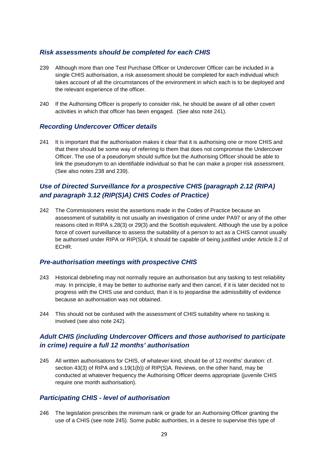#### *Risk assessments should be completed for each CHIS*

- 239 Although more than one Test Purchase Officer or Undercover Officer can be included in a single CHIS authorisation, a risk assessment should be completed for each individual which takes account of all the circumstances of the environment in which each is to be deployed and the relevant experience of the officer.
- 240 If the Authorising Officer is properly to consider risk, he should be aware of all other covert activities in which that officer has been engaged. (See also note 241).

#### *Recording Undercover Officer details*

241 It is important that the authorisation makes it clear that it is authorising one or more CHIS and that there should be some way of referring to them that does not compromise the Undercover Officer. The use of a pseudonym should suffice but the Authorising Officer should be able to link the pseudonym to an identifiable individual so that he can make a proper risk assessment. (See also notes 238 and 239).

# *Use of Directed Surveillance for a prospective CHIS (paragraph 2.12 (RIPA) and paragraph 3.12 (RIP(S)A) CHIS Codes of Practice)*

242 The Commissioners resist the assertions made in the Codes of Practice because an assessment of suitability is not usually an investigation of crime under PA97 or any of the other reasons cited in RIPA s.28(3) or 29(3) and the Scottish equivalent. Although the use by a police force of covert surveillance to assess the suitability of a person to act as a CHIS cannot usually be authorised under RIPA or RIP(S)A, it should be capable of being justified under Article 8.2 of ECHR.

#### *Pre-authorisation meetings with prospective CHIS*

- 243 Historical debriefing may not normally require an authorisation but any tasking to test reliability may. In principle, it may be better to authorise early and then cancel, if it is later decided not to progress with the CHIS use and conduct, than it is to jeopardise the admissibility of evidence because an authorisation was not obtained.
- 244 This should not be confused with the assessment of CHIS suitability where no tasking is involved (see also note 242).

# *Adult CHIS (including Undercover Officers and those authorised to participate in crime) require a full 12 months' authorisation*

245 All written authorisations for CHIS, of whatever kind, should be of 12 months' duration: cf. section 43(3) of RIPA and s.19(1(b)) of RIP(S)A. Reviews, on the other hand, may be conducted at whatever frequency the Authorising Officer deems appropriate (juvenile CHIS require one month authorisation).

#### *Participating CHIS - level of authorisation*

246 The legislation prescribes the minimum rank or grade for an Authorising Officer granting the use of a CHIS (see note 245). Some public authorities, in a desire to supervise this type of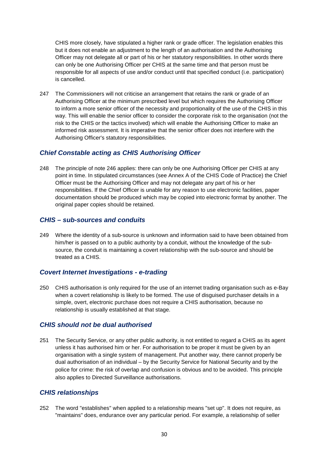CHIS more closely, have stipulated a higher rank or grade officer. The legislation enables this but it does not enable an adjustment to the length of an authorisation and the Authorising Officer may not delegate all or part of his or her statutory responsibilities. In other words there can only be one Authorising Officer per CHIS at the same time and that person must be responsible for all aspects of use and/or conduct until that specified conduct (i.e. participation) is cancelled.

247 The Commissioners will not criticise an arrangement that retains the rank or grade of an Authorising Officer at the minimum prescribed level but which requires the Authorising Officer to inform a more senior officer of the necessity and proportionality of the use of the CHIS in this way. This will enable the senior officer to consider the corporate risk to the organisation (not the risk to the CHIS or the tactics involved) which will enable the Authorising Officer to make an informed risk assessment. It is imperative that the senior officer does not interfere with the Authorising Officer's statutory responsibilities.

# *Chief Constable acting as CHIS Authorising Officer*

248 The principle of note 246 applies: there can only be one Authorising Officer per CHIS at any point in time. In stipulated circumstances (see Annex A of the CHIS Code of Practice) the Chief Officer must be the Authorising Officer and may not delegate any part of his or her responsibilities. If the Chief Officer is unable for any reason to use electronic facilities, paper documentation should be produced which may be copied into electronic format by another. The original paper copies should be retained.

# *CHIS – sub-sources and conduits*

249 Where the identity of a sub-source is unknown and information said to have been obtained from him/her is passed on to a public authority by a conduit, without the knowledge of the subsource, the conduit is maintaining a covert relationship with the sub-source and should be treated as a CHIS.

# *Covert Internet Investigations - e-trading*

250 CHIS authorisation is only required for the use of an internet trading organisation such as e-Bay when a covert relationship is likely to be formed. The use of disguised purchaser details in a simple, overt, electronic purchase does not require a CHIS authorisation, because no relationship is usually established at that stage.

# *CHIS should not be dual authorised*

251 The Security Service, or any other public authority, is not entitled to regard a CHIS as its agent unless it has authorised him or her. For authorisation to be proper it must be given by an organisation with a single system of management. Put another way, there cannot properly be dual authorisation of an individual – by the Security Service for National Security and by the police for crime: the risk of overlap and confusion is obvious and to be avoided. This principle also applies to Directed Surveillance authorisations.

# *CHIS relationships*

252 The word "establishes" when applied to a relationship means "set up". It does not require, as "maintains" does, endurance over any particular period. For example, a relationship of seller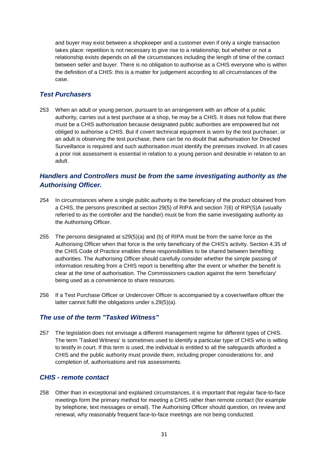and buyer may exist between a shopkeeper and a customer even if only a single transaction takes place: repetition is not necessary to give rise to a relationship; but whether or not a relationship exists depends on all the circumstances including the length of time of the contact between seller and buyer. There is no obligation to authorise as a CHIS everyone who is within the definition of a CHIS: this is a matter for judgement according to all circumstances of the case.

# *Test Purchasers*

253 When an adult or young person, pursuant to an arrangement with an officer of a public authority, carries out a test purchase at a shop, he may be a CHIS. It does not follow that there must be a CHIS authorisation because designated public authorities are empowered but not obliged to authorise a CHIS. But if covert technical equipment is worn by the test purchaser, or an adult is observing the test purchase, there can be no doubt that authorisation for Directed Surveillance is required and such authorisation must identify the premises involved. In all cases a prior risk assessment is essential in relation to a young person and desirable in relation to an adult.

# *Handlers and Controllers must be from the same investigating authority as the Authorising Officer.*

- 254 In circumstances where a single public authority is the beneficiary of the product obtained from a CHIS, the persons prescribed at section 29(5) of RIPA and section 7(6) of RIP(S)A (usually referred to as the controller and the handler) must be from the same investigating authority as the Authorising Officer.
- 255 The persons designated at s29(5)(a) and (b) of RIPA must be from the same force as the Authorising Officer when that force is the only beneficiary of the CHIS's activity. Section 4.35 of the CHIS Code of Practice enables these responsibilities to be shared between benefiting authorities. The Authorising Officer should carefully consider whether the simple passing of information resulting from a CHIS report is benefiting after the event or whether the benefit is clear at the time of authorisation. The Commissioners caution against the term 'beneficiary' being used as a convenience to share resources.
- 256 If a Test Purchase Officer or Undercover Officer is accompanied by a cover/welfare officer the latter cannot fulfil the obligations under s.29(5)(a).

# *The use of the term "Tasked Witness"*

257 The legislation does not envisage a different management regime for different types of CHIS. The term 'Tasked Witness' is sometimes used to identify a particular type of CHIS who is willing to testify in court. If this term is used, the individual is entitled to all the safeguards afforded a CHIS and the public authority must provide them, including proper considerations for, and completion of, authorisations and risk assessments.

# *CHIS - remote contact*

258 Other than in exceptional and explained circumstances, it is important that regular face-to-face meetings form the primary method for meeting a CHIS rather than remote contact (for example by telephone, text messages or email). The Authorising Officer should question, on review and renewal, why reasonably frequent face-to-face meetings are not being conducted.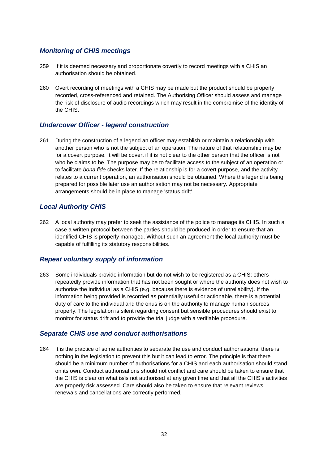#### *Monitoring of CHIS meetings*

- 259 If it is deemed necessary and proportionate covertly to record meetings with a CHIS an authorisation should be obtained.
- 260 Overt recording of meetings with a CHIS may be made but the product should be properly recorded, cross-referenced and retained. The Authorising Officer should assess and manage the risk of disclosure of audio recordings which may result in the compromise of the identity of the CHIS.

#### *Undercover Officer - legend construction*

261 During the construction of a legend an officer may establish or maintain a relationship with another person who is not the subject of an operation. The nature of that relationship may be for a covert purpose. It will be covert if it is not clear to the other person that the officer is not who he claims to be. The purpose may be to facilitate access to the subject of an operation or to facilitate *bona fide* checks later. If the relationship is for a covert purpose, and the activity relates to a current operation, an authorisation should be obtained. Where the legend is being prepared for possible later use an authorisation may not be necessary. Appropriate arrangements should be in place to manage 'status drift'.

# *Local Authority CHIS*

262 A local authority may prefer to seek the assistance of the police to manage its CHIS. In such a case a written protocol between the parties should be produced in order to ensure that an identified CHIS is properly managed. Without such an agreement the local authority must be capable of fulfilling its statutory responsibilities.

# *Repeat voluntary supply of information*

263 Some individuals provide information but do not wish to be registered as a CHIS; others repeatedly provide information that has not been sought or where the authority does not wish to authorise the individual as a CHIS (e.g. because there is evidence of unreliability). If the information being provided is recorded as potentially useful or actionable, there is a potential duty of care to the individual and the onus is on the authority to manage human sources properly. The legislation is silent regarding consent but sensible procedures should exist to monitor for status drift and to provide the trial judge with a verifiable procedure.

#### *Separate CHIS use and conduct authorisations*

264 It is the practice of some authorities to separate the use and conduct authorisations; there is nothing in the legislation to prevent this but it can lead to error. The principle is that there should be a minimum number of authorisations for a CHIS and each authorisation should stand on its own. Conduct authorisations should not conflict and care should be taken to ensure that the CHIS is clear on what is/is not authorised at any given time and that all the CHIS's activities are properly risk assessed. Care should also be taken to ensure that relevant reviews, renewals and cancellations are correctly performed.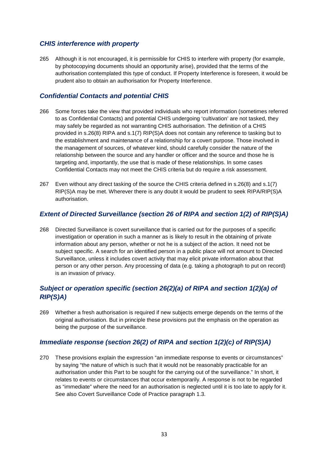# *CHIS interference with property*

265 Although it is not encouraged, it is permissible for CHIS to interfere with property (for example, by photocopying documents should an opportunity arise), provided that the terms of the authorisation contemplated this type of conduct. If Property Interference is foreseen, it would be prudent also to obtain an authorisation for Property Interference.

# *Confidential Contacts and potential CHIS*

- 266 Some forces take the view that provided individuals who report information (sometimes referred to as Confidential Contacts) and potential CHIS undergoing 'cultivation' are not tasked, they may safely be regarded as not warranting CHIS authorisation. The definition of a CHIS provided in s.26(8) RIPA and s.1(7) RIP(S)A does not contain any reference to tasking but to the establishment and maintenance of a relationship for a covert purpose. Those involved in the management of sources, of whatever kind, should carefully consider the nature of the relationship between the source and any handler or officer and the source and those he is targeting and, importantly, the use that is made of these relationships. In some cases Confidential Contacts may not meet the CHIS criteria but do require a risk assessment.
- 267 Even without any direct tasking of the source the CHIS criteria defined in s.26(8) and s.1(7) RIP(S)A may be met. Wherever there is any doubt it would be prudent to seek RIPA/RIP(S)A authorisation.

# *Extent of Directed Surveillance (section 26 of RIPA and section 1(2) of RIP(S)A)*

268 Directed Surveillance is covert surveillance that is carried out for the purposes of a specific investigation or operation in such a manner as is likely to result in the obtaining of private information about any person, whether or not he is a subject of the action. It need not be subject specific. A search for an identified person in a public place will not amount to Directed Surveillance, unless it includes covert activity that may elicit private information about that person or any other person. Any processing of data (e.g. taking a photograph to put on record) is an invasion of privacy.

# *Subject or operation specific (section 26(2)(a) of RIPA and section 1(2)(a) of RIP(S)A)*

269 Whether a fresh authorisation is required if new subjects emerge depends on the terms of the original authorisation. But in principle these provisions put the emphasis on the operation as being the purpose of the surveillance.

# *Immediate response (section 26(2) of RIPA and section 1(2)(c) of RIP(S)A)*

270 These provisions explain the expression "an immediate response to events or circumstances" by saying "the nature of which is such that it would not be reasonably practicable for an authorisation under this Part to be sought for the carrying out of the surveillance." In short, it relates to events or circumstances that occur extemporarily. A response is not to be regarded as "immediate" where the need for an authorisation is neglected until it is too late to apply for it. See also Covert Surveillance Code of Practice paragraph 1.3.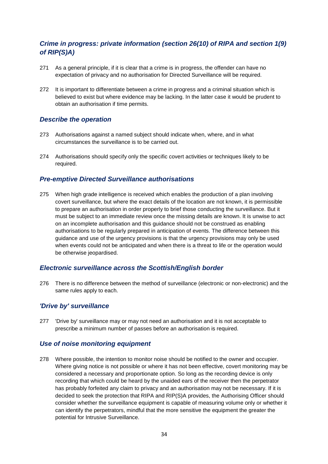# *Crime in progress: private information (section 26(10) of RIPA and section 1(9) of RIP(S)A)*

- 271 As a general principle, if it is clear that a crime is in progress, the offender can have no expectation of privacy and no authorisation for Directed Surveillance will be required.
- 272 It is important to differentiate between a crime in progress and a criminal situation which is believed to exist but where evidence may be lacking. In the latter case it would be prudent to obtain an authorisation if time permits.

#### *Describe the operation*

- 273 Authorisations against a named subject should indicate when, where, and in what circumstances the surveillance is to be carried out.
- 274 Authorisations should specify only the specific covert activities or techniques likely to be required.

#### *Pre-emptive Directed Surveillance authorisations*

275 When high grade intelligence is received which enables the production of a plan involving covert surveillance, but where the exact details of the location are not known, it is permissible to prepare an authorisation in order properly to brief those conducting the surveillance. But it must be subject to an immediate review once the missing details are known. It is unwise to act on an incomplete authorisation and this guidance should not be construed as enabling authorisations to be regularly prepared in anticipation of events. The difference between this guidance and use of the urgency provisions is that the urgency provisions may only be used when events could not be anticipated and when there is a threat to life or the operation would be otherwise jeopardised.

#### *Electronic surveillance across the Scottish/English border*

276 There is no difference between the method of surveillance (electronic or non-electronic) and the same rules apply to each.

# *'Drive by' surveillance*

277 'Drive by' surveillance may or may not need an authorisation and it is not acceptable to prescribe a minimum number of passes before an authorisation is required.

# *Use of noise monitoring equipment*

278 Where possible, the intention to monitor noise should be notified to the owner and occupier. Where giving notice is not possible or where it has not been effective, covert monitoring may be considered a necessary and proportionate option. So long as the recording device is only recording that which could be heard by the unaided ears of the receiver then the perpetrator has probably forfeited any claim to privacy and an authorisation may not be necessary. If it is decided to seek the protection that RIPA and RIP(S)A provides, the Authorising Officer should consider whether the surveillance equipment is capable of measuring volume only or whether it can identify the perpetrators, mindful that the more sensitive the equipment the greater the potential for Intrusive Surveillance.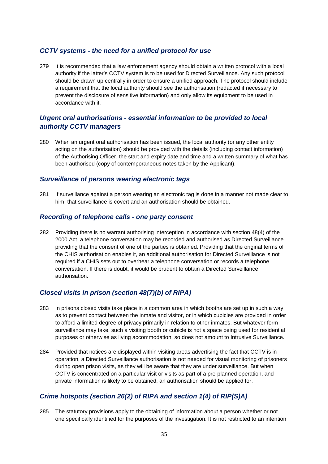#### *CCTV systems - the need for a unified protocol for use*

279 It is recommended that a law enforcement agency should obtain a written protocol with a local authority if the latter's CCTV system is to be used for Directed Surveillance. Any such protocol should be drawn up centrally in order to ensure a unified approach. The protocol should include a requirement that the local authority should see the authorisation (redacted if necessary to prevent the disclosure of sensitive information) and only allow its equipment to be used in accordance with it.

# *Urgent oral authorisations - essential information to be provided to local authority CCTV managers*

280 When an urgent oral authorisation has been issued, the local authority (or any other entity acting on the authorisation) should be provided with the details (including contact information) of the Authorising Officer, the start and expiry date and time and a written summary of what has been authorised (copy of contemporaneous notes taken by the Applicant).

#### *Surveillance of persons wearing electronic tags*

281 If surveillance against a person wearing an electronic tag is done in a manner not made clear to him, that surveillance is covert and an authorisation should be obtained.

#### *Recording of telephone calls - one party consent*

282 Providing there is no warrant authorising interception in accordance with section 48(4) of the 2000 Act, a telephone conversation may be recorded and authorised as Directed Surveillance providing that the consent of one of the parties is obtained. Providing that the original terms of the CHIS authorisation enables it, an additional authorisation for Directed Surveillance is not required if a CHIS sets out to overhear a telephone conversation or records a telephone conversation. If there is doubt, it would be prudent to obtain a Directed Surveillance authorisation.

#### *Closed visits in prison (section 48(7)(b) of RIPA)*

- 283 In prisons closed visits take place in a common area in which booths are set up in such a way as to prevent contact between the inmate and visitor, or in which cubicles are provided in order to afford a limited degree of privacy primarily in relation to other inmates. But whatever form surveillance may take, such a visiting booth or cubicle is not a space being used for residential purposes or otherwise as living accommodation, so does not amount to Intrusive Surveillance.
- 284 Provided that notices are displayed within visiting areas advertising the fact that CCTV is in operation, a Directed Surveillance authorisation is not needed for visual monitoring of prisoners during open prison visits, as they will be aware that they are under surveillance. But when CCTV is concentrated on a particular visit or visits as part of a pre-planned operation, and private information is likely to be obtained, an authorisation should be applied for.

# *Crime hotspots (section 26(2) of RIPA and section 1(4) of RIP(S)A)*

285 The statutory provisions apply to the obtaining of information about a person whether or not one specifically identified for the purposes of the investigation. It is not restricted to an intention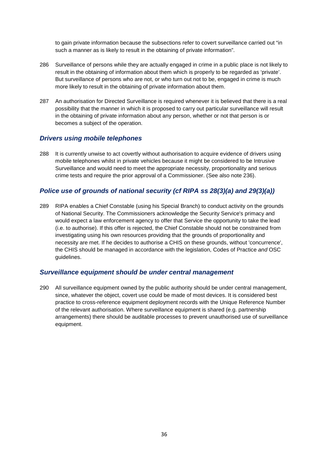to gain private information because the subsections refer to covert surveillance carried out "in such a manner as is likely to result in the obtaining of private information".

- 286 Surveillance of persons while they are actually engaged in crime in a public place is not likely to result in the obtaining of information about them which is properly to be regarded as 'private'. But surveillance of persons who are not, or who turn out not to be, engaged in crime is much more likely to result in the obtaining of private information about them.
- 287 An authorisation for Directed Surveillance is required whenever it is believed that there is a real possibility that the manner in which it is proposed to carry out particular surveillance will result in the obtaining of private information about any person, whether or not that person is or becomes a subject of the operation.

#### *Drivers using mobile telephones*

288 It is currently unwise to act covertly without authorisation to acquire evidence of drivers using mobile telephones whilst in private vehicles because it might be considered to be Intrusive Surveillance and would need to meet the appropriate necessity, proportionality and serious crime tests and require the prior approval of a Commissioner. (See also note 236).

# *Police use of grounds of national security (cf RIPA ss 28(3)(a) and 29(3)(a))*

289 RIPA enables a Chief Constable (using his Special Branch) to conduct activity on the grounds of National Security. The Commissioners acknowledge the Security Service's primacy and would expect a law enforcement agency to offer that Service the opportunity to take the lead (i.e. to authorise). If this offer is rejected, the Chief Constable should not be constrained from investigating using his own resources providing that the grounds of proportionality and necessity are met. If he decides to authorise a CHIS on these grounds, without 'concurrence', the CHIS should be managed in accordance with the legislation, Codes of Practice *and* OSC guidelines.

#### *Surveillance equipment should be under central management*

290 All surveillance equipment owned by the public authority should be under central management, since, whatever the object, covert use could be made of most devices. It is considered best practice to cross-reference equipment deployment records with the Unique Reference Number of the relevant authorisation. Where surveillance equipment is shared (e.g. partnership arrangements) there should be auditable processes to prevent unauthorised use of surveillance equipment.